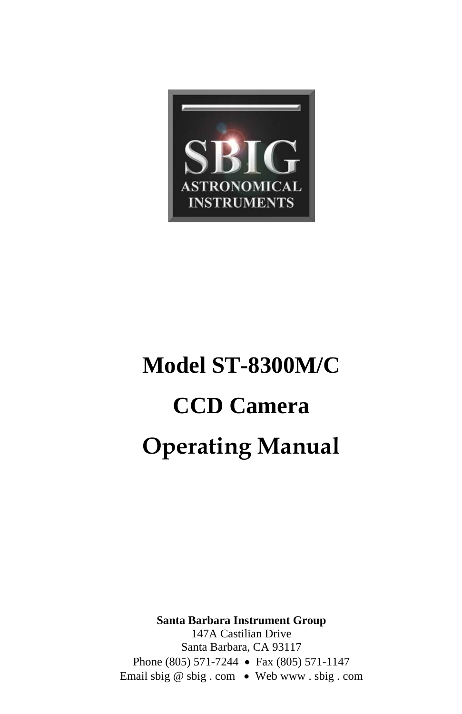

# **Model ST-8300M/C CCD Camera Operating Manual**

**Santa Barbara Instrument Group** 

147A Castilian Drive Santa Barbara, CA 93117 Phone (805) 571-7244 • Fax (805) 571-1147 Email sbig @ sbig . com • Web www . sbig . com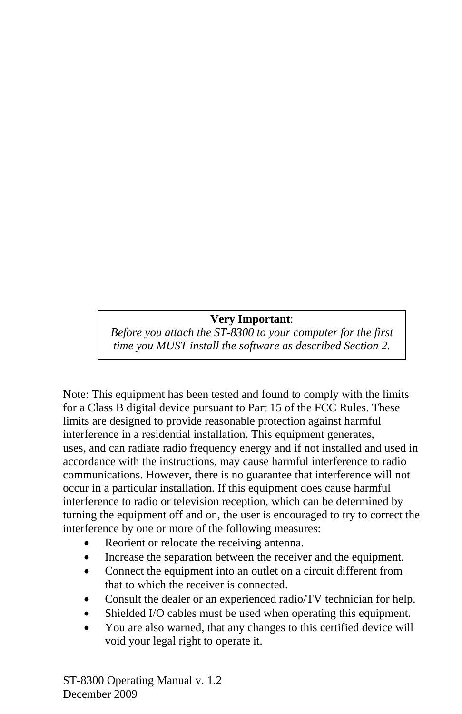### **Very Important**:

*Before you attach the ST-8300 to your computer for the first time you MUST install the software as described Section 2.* 

Note: This equipment has been tested and found to comply with the limits for a Class B digital device pursuant to Part 15 of the FCC Rules. These limits are designed to provide reasonable protection against harmful interference in a residential installation. This equipment generates, uses, and can radiate radio frequency energy and if not installed and used in accordance with the instructions, may cause harmful interference to radio communications. However, there is no guarantee that interference will not occur in a particular installation. If this equipment does cause harmful interference to radio or television reception, which can be determined by turning the equipment off and on, the user is encouraged to try to correct the interference by one or more of the following measures:

- Reorient or relocate the receiving antenna.
- Increase the separation between the receiver and the equipment.
- Connect the equipment into an outlet on a circuit different from that to which the receiver is connected.
- Consult the dealer or an experienced radio/TV technician for help.
- Shielded I/O cables must be used when operating this equipment.
- You are also warned, that any changes to this certified device will void your legal right to operate it.

ST-8300 Operating Manual v. 1.2 December 2009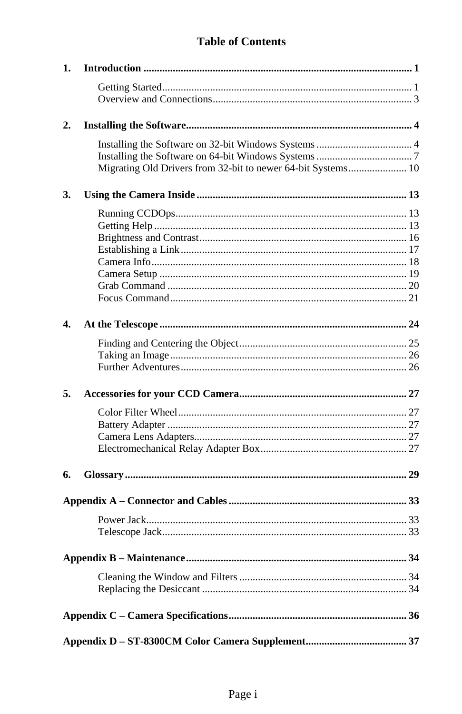# **Table of Contents**

| 1.               |                                                              |  |
|------------------|--------------------------------------------------------------|--|
|                  |                                                              |  |
|                  |                                                              |  |
| 2.               |                                                              |  |
|                  |                                                              |  |
|                  |                                                              |  |
|                  | Migrating Old Drivers from 32-bit to newer 64-bit Systems 10 |  |
| 3.               |                                                              |  |
|                  |                                                              |  |
|                  |                                                              |  |
|                  |                                                              |  |
|                  |                                                              |  |
|                  |                                                              |  |
|                  |                                                              |  |
|                  |                                                              |  |
|                  |                                                              |  |
| $\overline{4}$ . |                                                              |  |
|                  |                                                              |  |
|                  |                                                              |  |
|                  |                                                              |  |
| 5.               |                                                              |  |
|                  |                                                              |  |
|                  |                                                              |  |
|                  |                                                              |  |
|                  |                                                              |  |
| 6.               |                                                              |  |
|                  |                                                              |  |
|                  |                                                              |  |
|                  |                                                              |  |
|                  |                                                              |  |
|                  |                                                              |  |
|                  |                                                              |  |
|                  |                                                              |  |
|                  |                                                              |  |
|                  |                                                              |  |
|                  |                                                              |  |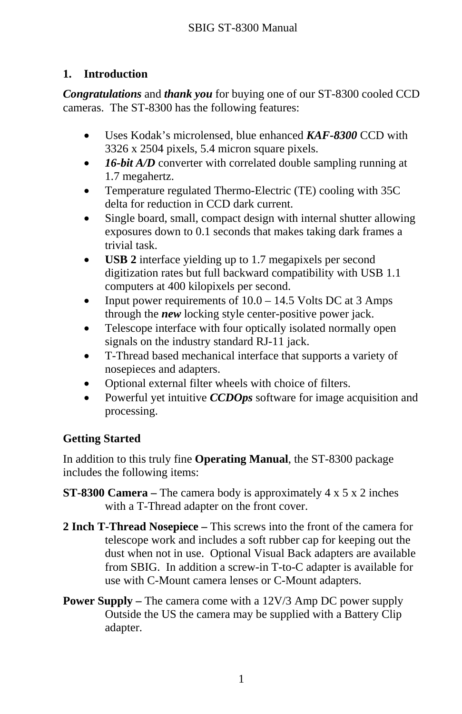# <span id="page-3-0"></span>**1. Introduction**

*Congratulations* and *thank you* for buying one of our ST-8300 cooled CCD cameras. The ST-8300 has the following features:

- Uses Kodak's microlensed, blue enhanced **KAF-8300** CCD with 3326 x 2504 pixels, 5.4 micron square pixels.
- **16-bit A/D** converter with correlated double sampling running at 1.7 megahertz.
- Temperature regulated Thermo-Electric (TE) cooling with 35C delta for reduction in CCD dark current.
- Single board, small, compact design with internal shutter allowing exposures down to 0.1 seconds that makes taking dark frames a trivial task.
- **USB 2** interface yielding up to 1.7 megapixels per second digitization rates but full backward compatibility with USB 1.1 computers at 400 kilopixels per second.
- Input power requirements of  $10.0 14.5$  Volts DC at 3 Amps through the *new* locking style center-positive power jack.
- Telescope interface with four optically isolated normally open signals on the industry standard RJ-11 jack.
- T-Thread based mechanical interface that supports a variety of nosepieces and adapters.
- Optional external filter wheels with choice of filters.
- Powerful yet intuitive *CCDOps* software for image acquisition and processing.

# **Getting Started**

In addition to this truly fine **Operating Manual**, the ST-8300 package includes the following items:

- **ST-8300 Camera –** The camera body is approximately 4 x 5 x 2 inches with a T-Thread adapter on the front cover.
- **2 Inch T-Thread Nosepiece –** This screws into the front of the camera for telescope work and includes a soft rubber cap for keeping out the dust when not in use. Optional Visual Back adapters are available from SBIG. In addition a screw-in T-to-C adapter is available for use with C-Mount camera lenses or C-Mount adapters.
- **Power Supply** The camera come with a 12V/3 Amp DC power supply Outside the US the camera may be supplied with a Battery Clip adapter.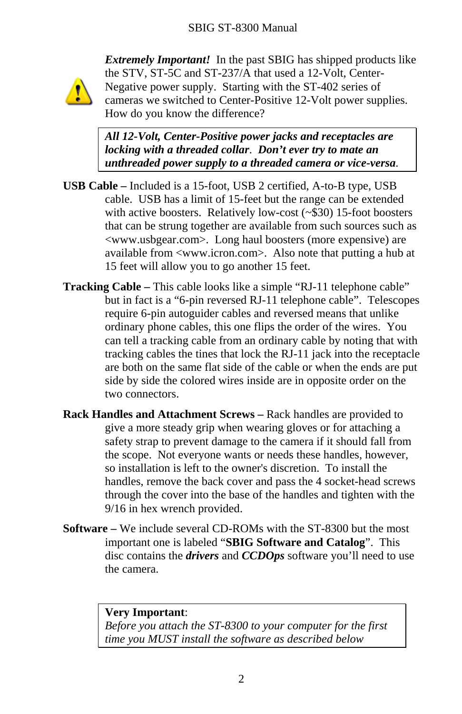

*Extremely Important!* In the past SBIG has shipped products like the STV, ST-5C and ST-237/A that used a 12-Volt, Center-Negative power supply. Starting with the ST-402 series of cameras we switched to Center-Positive 12-Volt power supplies. How do you know the difference?

*All 12-Volt, Center-Positive power jacks and receptacles are locking with a threaded collar*. *Don't ever try to mate an unthreaded power supply to a threaded camera or vice-versa*.

- **USB Cable –** Included is a 15-foot, USB 2 certified, A-to-B type, USB cable. USB has a limit of 15-feet but the range can be extended with active boosters. Relatively low-cost (~\$30) 15-foot boosters that can be strung together are available from such sources such as <www.usbgear.com>. Long haul boosters (more expensive) are available from <www.icron.com>. Also note that putting a hub at 15 feet will allow you to go another 15 feet.
- **Tracking Cable –** This cable looks like a simple "RJ-11 telephone cable" but in fact is a "6-pin reversed RJ-11 telephone cable". Telescopes require 6-pin autoguider cables and reversed means that unlike ordinary phone cables, this one flips the order of the wires. You can tell a tracking cable from an ordinary cable by noting that with tracking cables the tines that lock the RJ-11 jack into the receptacle are both on the same flat side of the cable or when the ends are put side by side the colored wires inside are in opposite order on the two connectors.
- **Rack Handles and Attachment Screws –** Rack handles are provided to give a more steady grip when wearing gloves or for attaching a safety strap to prevent damage to the camera if it should fall from the scope. Not everyone wants or needs these handles, however, so installation is left to the owner's discretion. To install the handles, remove the back cover and pass the 4 socket-head screws through the cover into the base of the handles and tighten with the 9/16 in hex wrench provided.
- **Software –** We include several CD-ROMs with the ST-8300 but the most important one is labeled "**SBIG Software and Catalog**". This disc contains the *drivers* and *CCDOps* software you'll need to use the camera.

#### **Very Important**:

*Before you attach the ST-8300 to your computer for the first time you MUST install the software as described below*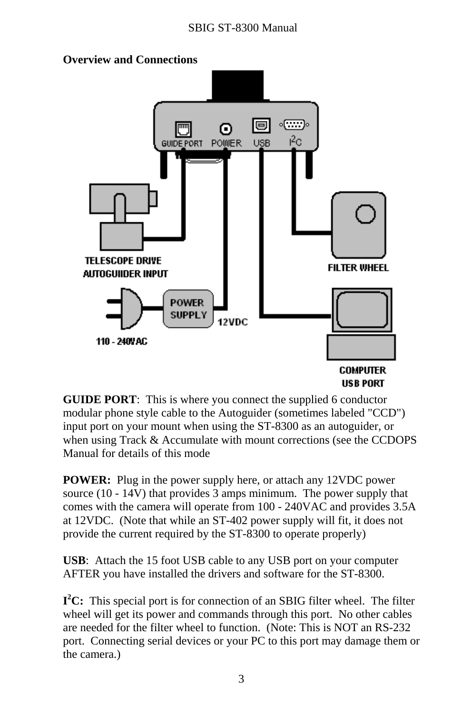<span id="page-5-0"></span>

**GUIDE PORT**: This is where you connect the supplied 6 conductor modular phone style cable to the Autoguider (sometimes labeled "CCD") input port on your mount when using the ST-8300 as an autoguider, or when using Track & Accumulate with mount corrections (see the CCDOPS) Manual for details of this mode

**POWER:** Plug in the power supply here, or attach any 12VDC power source (10 - 14V) that provides 3 amps minimum. The power supply that comes with the camera will operate from 100 - 240VAC and provides 3.5A at 12VDC. (Note that while an ST-402 power supply will fit, it does not provide the current required by the ST-8300 to operate properly)

**USB**: Attach the 15 foot USB cable to any USB port on your computer AFTER you have installed the drivers and software for the ST-8300.

**<sup>I</sup>2C:** This special port is for connection of an SBIG filter wheel. The filter wheel will get its power and commands through this port. No other cables are needed for the filter wheel to function. (Note: This is NOT an RS-232 port. Connecting serial devices or your PC to this port may damage them or the camera.)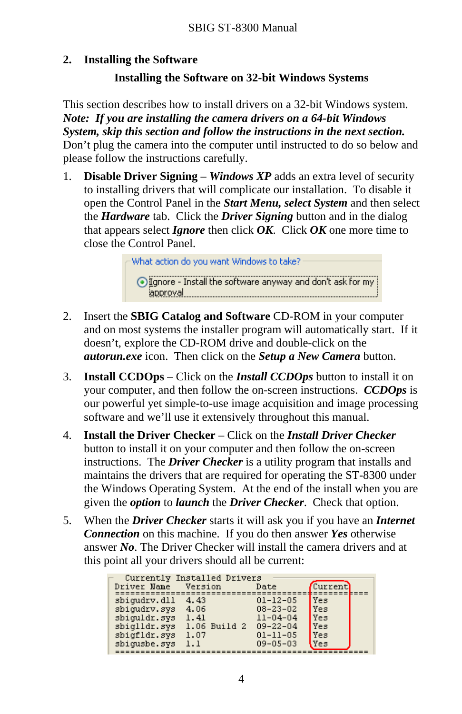#### <span id="page-6-0"></span>**2.Installing the Software**

# **Installing the Software o 32-bit Windows Systems n**

This section describes how to install drivers on a 32-bit Windows system. *Note: If you are installing the camera drivers on a 64-bit Windows System, skip this section and follow the instructions in the next section.* Don't plug the camera into the computer until instructed to do so below and please follow the instructions carefully.

1. **Disable Driver Signing** – *Windows XP* adds an extra level of security to installing drivers that will complicate our installation. To disable it open the Control Panel in the *Start Menu, select System* and then select the *Hardware* tab. Click the *Driver Signing* button and in the dialog that appears select *Ignore* then click *OK*. Click *OK* one more time to close the Control Panel.



- 2. Insert the **SBIG Catalog and Software** CD-ROM in your computer and on most systems the installer program will automatically start. If it doesn't, explore the CD-ROM drive and double-click on the *autorun.exe* icon. Then click on the *Setup a New Camera* button.
- **Install CCDOps** Click on the *Install CCDOps* button to install it on 3.your computer, and then follow the on-screen instructions. *CCDOps* is our powerful yet simple-to-use image acquisition and image processing software and we'll use it extensively throughout this manual.
- 4. **Install the Driver Checker** – Click on the *Install Driver Checker*button to install it on your computer and then follow the on-screen instructions. The *Driver Checker* is a utility program that installs and maintains the drivers that are required for operating the ST-8300 under the Windows Operating System. At the end of the install when you are given the *option* to *launch* the *Driver Checker*. Check that option.
- 5. When the *Driver Checker* starts it will ask you if you have an *Internet Connection* on this machine. If you do then answer *Yes* otherwise answer *No*. The Driver Checker will install the camera drivers and at this point all your drivers should all be current:

| Driver Name  | Currently Installed Drivers<br>Version | Date           | Current    |  |
|--------------|----------------------------------------|----------------|------------|--|
| sbigudry.dll | 4.43                                   | $01 - 12 - 05$ | Yes        |  |
| sbigudry.sys | 4.06                                   | $08 - 23 - 02$ | <b>Yes</b> |  |
| sbiguldr.sys | 1.41                                   | $11 - 04 - 04$ | Yes        |  |
| sbiglldr.svs | 1.06 Build 2                           | $09 - 22 - 04$ | Yes        |  |
| sbigfldr.sys | 1.07                                   | $01 - 11 - 05$ | Yes        |  |
| sbiqusbe.sys | 1.1                                    | $09 - 05 - 03$ | Yes        |  |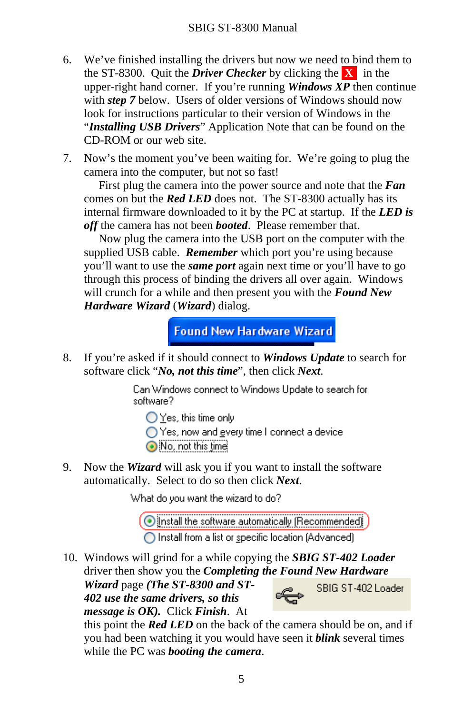- 6. We've finished installing the drivers but now we need to bind them to the ST-8300. Quit the *Driver Checker* by clicking the **X** in the upper-right hand corner. If you're running *Windows XP* then continue with *step 7* below. Users of older versions of Windows should now look for instructions particular to their version of Windows in the "*Installing USB Drivers*" Application Note that can be found on the CD-ROM or our web site.
- 7. Now's the moment you've been waiting for. We're going to plug the camera into the computer, but not so fast!

 First plug the camera into the power source and note that the *Fan* comes on but the *Red LED* does not. The ST-8300 actually has its internal firmware downloaded to it by the PC at startup. If the *LED is off* the camera has not been *booted*. Please remember that.

 Now plug the camera into the USB port on the computer with the supplied USB cable. *Remember* which port you're using because you'll want to use the *same port* again next time or you'll have to go through this process of binding the drivers all over again. Windows will crunch for a while and then present you with the *Found New Hardware Wizard* (*Wizard*) dialog.

**Found New Hardware Wizard** 

8. If you're asked if it should connect to *Windows Update* to search for software click "*No, not this time*", then click *Next*.

> Can Windows connect to Windows Update to search for software?

 $\bigcirc$  Yes, this time only

◯ Yes, now and every time I connect a device

No, not this time

9. Now the *Wizard* will ask you if you want to install the software automatically. Select to do so then click *Next*.

What do you want the wizard to do?

(O Install the software automatically (Recommended)

◯ Install from a list or specific location (Advanced)

10. Windows will grind for a while copying the *SBIG ST-402 Loader* driver then show you the *Completing the Found New Hardware* Wizard page (The ST-8300 and ST-<br>402 use the same drivers, so this **SBIG ST-402 Loader** 

*Wizard* page *(The ST-8300 and ST-402 use the same drivers, so this message is OK).* Click *Finish*. At



this point the *Red LED* on the back of the camera should be on, and if you had been watching it you would have seen it *blink* several times while the PC was *booting the camera*.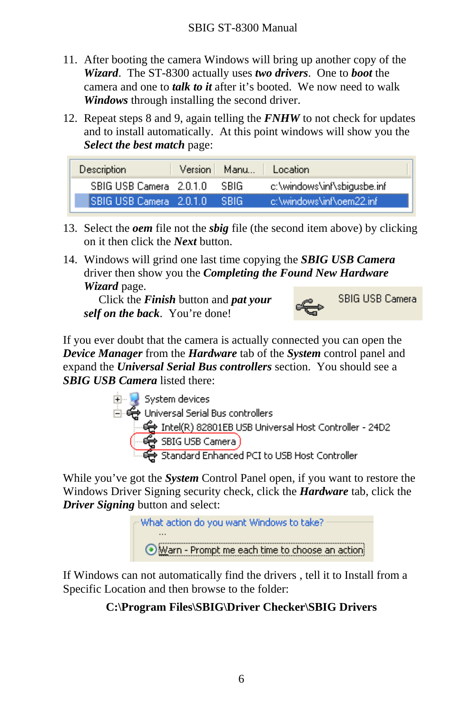- 11. After booting the camera Windows will bring up another copy of the *Wizard*. The ST-8300 actually uses *two drivers*. One to *boot* the camera and one to *talk to it* after it's booted. We now need to walk *Windows* through installing the second driver.
- 12. Repeat steps 8 and 9, again telling the *FNHW* to not check for updates and to install automatically. At this point windows will show you the *Select the best match* page:

| <b>Description</b>    |             | Version Manu   Location     |
|-----------------------|-------------|-----------------------------|
| SBIG USB Camera 2010  | <b>SRIG</b> | c:\windows\inf\sbigusbe.inf |
| ISBIG USB Camera 2010 | - SRIG.     | -c:\windows\inf\oem22.inf   |

- 13. Select the *oem* file not the *sbig* file (the second item above) by clicking on it then click the *Next* button.
- 14. Windows will grind one last time copying the *SBIG USB Camera* driver then show you the *Completing the Found New Hardware Wizard* page.

 Click the *Finish* button and *pat your self on the back*. You're done!



If you ever doubt that the camera is actually connected you can open the *Device Manager* from the *Hardware* tab of the *System* control panel and expand the *Universal Serial Bus controllers* section. You should see a *SBIG USB Camera* listed there:



While you've got the *System* Control Panel open, if you want to restore the Windows Driver Signing security check, click the *Hardware* tab, click the *Driver Signing* button and select:

> What action do you want Windows to take? Warn - Prompt me each time to choose an action

If Windows can not automatically find the drivers , tell it to Install from a Specific Location and then browse to the folder:

# **C:\Program Files\SBIG\Driver Checker\SBIG Drivers**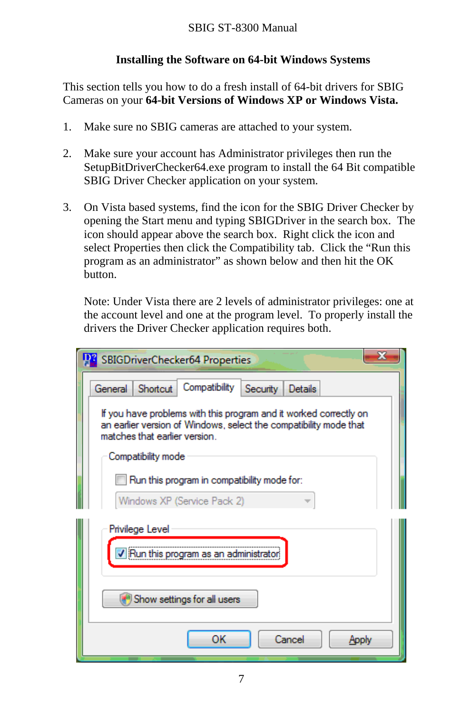# **Installing the Software on 64-bit Windows Systems**

<span id="page-9-0"></span>This section tells you how to do a fresh install of 64-bit drivers for SBIG Cameras on your **64-bit Versions of Windows XP or Windows Vista.**

- 1. Make sure no SBIG cameras are attached to your system.
- 2. Make sure your account has Administrator privileges then run the SetupBitDriverChecker64.exe program to install the 64 Bit compatible SBIG Driver Checker application on your system.
- 3. On Vista based systems, find the icon for the SBIG Driver Checker by opening the Start menu and typing SBIGDriver in the search box. The icon should appear above the search box. Right click the icon and select Properties then click the Compatibility tab. Click the "Run this program as an administrator" as shown below and then hit the OK button.

Note: Under Vista there are 2 levels of administrator privileges: one at the account level and one at the program level. To properly install the drivers the Driver Checker application requires both.

| SBIGDriverChecker64 Properties                                                                                                                                          |  |  |  |  |  |
|-------------------------------------------------------------------------------------------------------------------------------------------------------------------------|--|--|--|--|--|
| Compatibility<br>General<br>Shortcut<br>Security Details                                                                                                                |  |  |  |  |  |
| If you have problems with this program and it worked correctly on<br>an earlier version of Windows, select the compatibility mode that<br>matches that earlier version. |  |  |  |  |  |
| Compatibility mode                                                                                                                                                      |  |  |  |  |  |
| Run this program in compatibility mode for:                                                                                                                             |  |  |  |  |  |
| Windows XP (Service Pack 2)                                                                                                                                             |  |  |  |  |  |
| Privilege Level                                                                                                                                                         |  |  |  |  |  |
| V Run this program as an administr                                                                                                                                      |  |  |  |  |  |
| Show settings for all users                                                                                                                                             |  |  |  |  |  |
| ок<br>Cancel<br>Apply                                                                                                                                                   |  |  |  |  |  |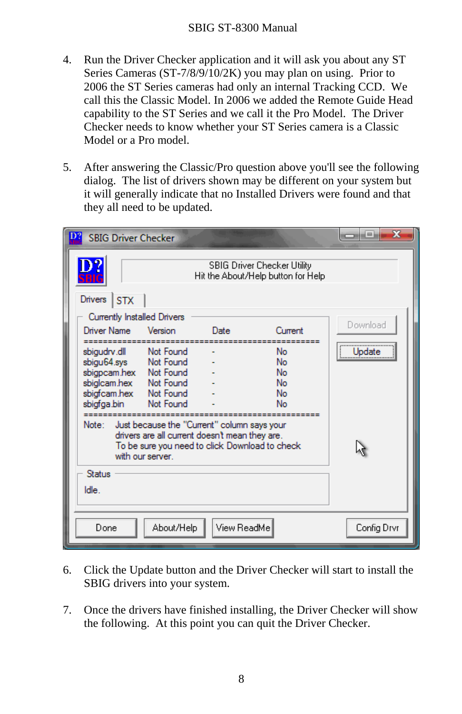#### SBIG ST-8300 Manual

- 4. Run the Driver Checker application and it will ask you about any ST Series Cameras (ST-7/8/9/10/2K) you may plan on using. Prior to 2006 the ST Series cameras had only an internal Tracking CCD. We call this the Classic Model. In 2006 we added the Remote Guide Head capability to the ST Series and we call it the Pro Model. The Driver Checker needs to know whether your ST Series camera is a Classic Model or a Pro model.
- 5. After answering the Classic/Pro question above you'll see the following dialog. The list of drivers shown may be different on your system but it will generally indicate that no Installed Drivers were found and that they all need to be updated.

| <b>SBIG Driver Checker</b>                                                                                                                      |                                                                                                                                                                                                    |             |                                                                   | $\overline{\mathbf{x}}$<br>a e |
|-------------------------------------------------------------------------------------------------------------------------------------------------|----------------------------------------------------------------------------------------------------------------------------------------------------------------------------------------------------|-------------|-------------------------------------------------------------------|--------------------------------|
|                                                                                                                                                 |                                                                                                                                                                                                    |             | SBIG Driver Checker Utility<br>Hit the About/Help button for Help |                                |
| Drivers STX                                                                                                                                     |                                                                                                                                                                                                    |             |                                                                   |                                |
| Currently Installed Drivers                                                                                                                     |                                                                                                                                                                                                    |             |                                                                   |                                |
| Driver Name                                                                                                                                     | Version                                                                                                                                                                                            | Date        | Current                                                           | Download                       |
| sbigudry.dll<br>sbigu64.sys<br>sbigpcam.hex<br>sbiglcam.hex<br>sbigfcam.hex<br>sbigfga.bin<br>Note: Just because the "Current" column says your | Not Found<br>Not Found<br>Not Found<br>Not Found<br>Not Found<br>Not Found<br>drivers are all current doesn't mean they are.<br>To be sure you need to click Download to check<br>with our server. |             | No<br>No<br>No<br>No<br>No<br>No                                  | Update                         |
| Status<br>Idle.                                                                                                                                 |                                                                                                                                                                                                    |             |                                                                   |                                |
| Done                                                                                                                                            | About/Help                                                                                                                                                                                         | View ReadMe |                                                                   | Config Drvr                    |

- 6. Click the Update button and the Driver Checker will start to install the SBIG drivers into your system.
- 7. Once the drivers have finished installing, the Driver Checker will show the following. At this point you can quit the Driver Checker.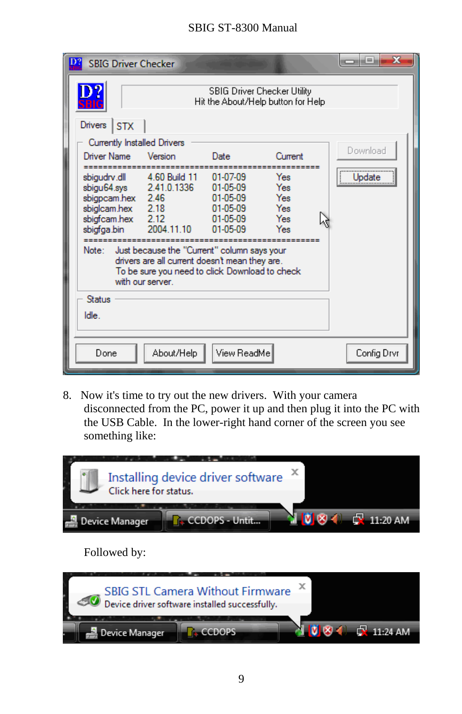# SBIG ST-8300 Manual

| <b>SBIG Driver Checker</b>                                                                     |                                                                                                                                                                                                                   |                                                                        |                                        | <b>TOTHER</b> |
|------------------------------------------------------------------------------------------------|-------------------------------------------------------------------------------------------------------------------------------------------------------------------------------------------------------------------|------------------------------------------------------------------------|----------------------------------------|---------------|
|                                                                                                |                                                                                                                                                                                                                   | SBIG Driver Checker Utility<br>Hit the About/Help button for Help      |                                        |               |
| Drivers STX                                                                                    |                                                                                                                                                                                                                   |                                                                        |                                        |               |
| Currently Installed Drivers                                                                    |                                                                                                                                                                                                                   |                                                                        |                                        |               |
| Driver Name                                                                                    | Version                                                                                                                                                                                                           | Date                                                                   | Current                                | Download      |
| sbigudrv.dll<br>sbigpcam.hex 2.46<br>sbiglcam.hex<br>sbigfcam.hex 2.12<br>sbigfga.bin<br>Note: | 4.60 Build 11<br>sbigu64.sys 2.41.0.1336<br>2.18<br>2004.11.10<br>Just because the "Current" column says your<br>drivers are all current doesn't mean they are.<br>To be sure you need to click Download to check | 01-07-09<br>01-05-09<br>01-05-09<br>01-05-09<br>$01-05-09$<br>01-05-09 | Yes<br>Yes<br>Yes<br>Yes<br>Yes<br>Yes | Update        |
| Status<br>ldle.                                                                                | with our server.                                                                                                                                                                                                  |                                                                        |                                        |               |
| Done                                                                                           | About/Help                                                                                                                                                                                                        | View ReadMe                                                            |                                        | Config Drvr   |

8. Now it's time to try out the new drivers. With your camera disconnected from the PC, power it up and then plug it into the PC with the USB Cable. In the lower-right hand corner of the screen you see something like:



Followed by:

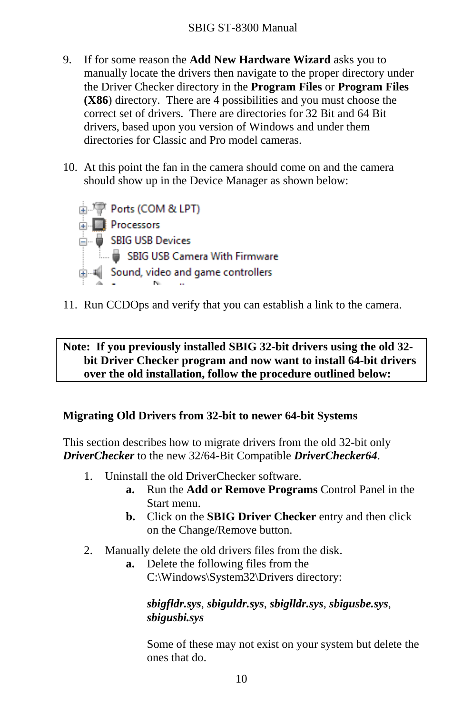- <span id="page-12-0"></span>9. If for some reason the **Add New Hardware Wizard** asks you to manually locate the drivers then navigate to the proper directory under the Driver Checker directory in the **Program Files** or **Program Files (X86**) directory. There are 4 possibilities and you must choose the correct set of drivers. There are directories for 32 Bit and 64 Bit drivers, based upon you version of Windows and under them directories for Classic and Pro model cameras.
- 10. At this point the fan in the camera should come on and the camera should show up in the Device Manager as shown below:



11. Run CCDOps and verify that you can establish a link to the camera.

# **Note: If you previously installed SBIG 32-bit drivers using the old 32 bit Driver Checker program and now want to install 64-bit drivers over the old installation, follow the procedure outlined below:**

#### **Migrating Old Drivers from 32-bit to newer 64-bit Systems**

This section describes how to migrate drivers from the old 32-bit only *DriverChecker* to the new 32/64-Bit Compatible *DriverChecker64*.

- 1. Uninstall the old DriverChecker software.
	- **a.** Run the **Add or Remove Programs** Control Panel in the Start menu.
	- **b.** Click on the **SBIG Driver Checker** entry and then click on the Change/Remove button.
- 2. Manually delete the old drivers files from the disk.
	- **a.** Delete the following files from the C:\Windows\System32\Drivers directory:

#### *sbigfldr.sys*, *sbiguldr.sys*, *sbiglldr.sys*, *sbigusbe.sys*, *sbigusbi.sys*

Some of these may not exist on your system but delete the ones that do.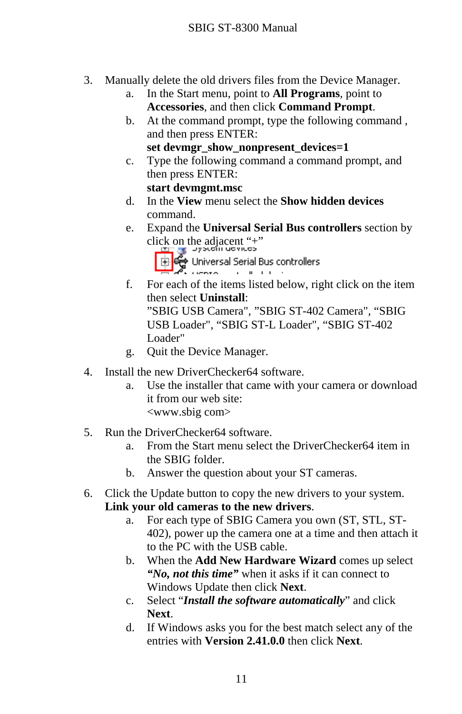- 3. Manually delete the old drivers files from the Device Manager.
	- a. In the Start menu, point to **All Programs**, point to **Accessories**, and then click **Command Prompt**.
	- b. At the command prompt, type the following command , and then press ENTER:

**set devmgr\_show\_nonpresent\_devices=1**

c. Type the following command a command prompt, and then press ENTER:

#### **start devmgmt.msc**

- d. In the **View** menu select the **Show hidden devices**command.
- e. Expand the **Universal Serial Bus controllers** section by



f. For each of the items listed below, right click on the item then select **Uninstall**:"SBIG USB Camera", "SBIG ST-402 Camera", "SBIG

USB Loader", "SBIG ST-L Loader", "SBIG ST-402 Loader"

- g. Quit the Device Manager.
- 4. Install the new DriverChecker64 software.
	- a. Use the installer that came with your camera or download it from our web site: <www.sbig com>
- 5. Run the DriverChecker64 software.
	- a. From the Start menu select the DriverChecker64 item in the SBIG folder.
	- b. Answer the question about your ST cameras.
- 6. Click the Update button to copy the new drivers to your system. **Link your old cameras to the new drivers**.
	- a. For each type of SBIG Camera you own (ST, STL, ST-402), power up the camera one at a time and then attach it to the PC with the USB cable.
	- b. When the **Add New Hardware Wizard** comes up select *"No, not this time"* when it asks if it can connect to Windows Update then click **Next**.
	- c. Select "*Install the software automatically*" and click **Next**.
	- d. If Windows asks you for the best match select any of the entries with **Version 2.41.0.0** then click **Next**.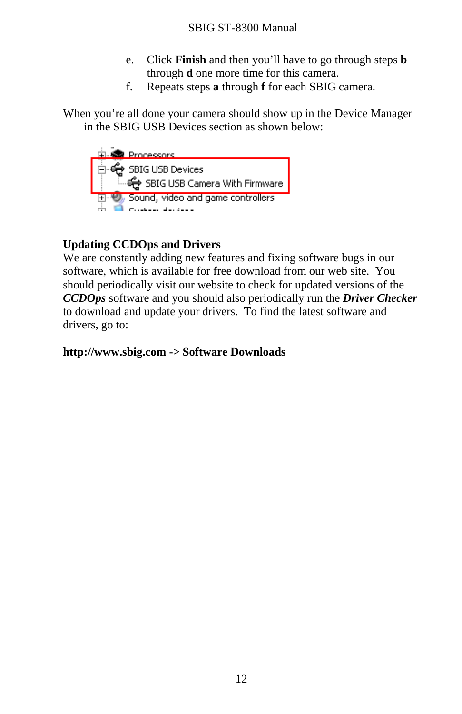- e. Click **Finish** and then you'll have to go through steps **b** through **d** one more time for this camera.
- f. Repeats steps **a** through **f** for each SBIG camera.

When you're all done your camera should show up in the Device Manager in the SBIG USB Devices section as shown below:



# **Updating CCDOps and Drivers**

We are constantly adding new features and fixing software bugs in our software, which is available for free download from our web site. You should periodically visit our website to check for updated versions of the *CCDOps* software and you should also periodically run the *Driver Checker* to download and update your drivers. To find the latest software and drivers, go to:

**http://www.sbig.com -> Software Downloads**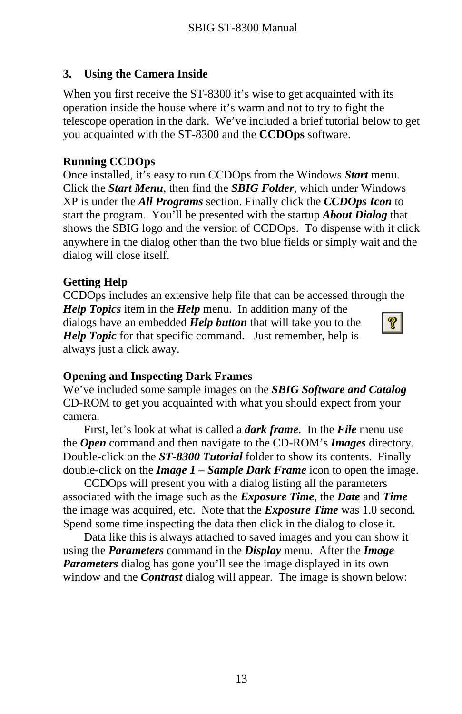#### <span id="page-15-0"></span>**3.Using the Camera Inside**

When you first receive the ST-8300 it's wise to get acquainted with its operation inside the house where it's warm and not to try to fight the telescope operation in the dark. We've included a brief tutorial below to get you acquainted with the ST-8300 and the **CCDOps** software.

# **Running CCDOps**

Once installed, it's easy to run CCDOps from the Windows *Start* menu. Click the *Start Menu*, then find the *SBIG Folder*, which under Windows XP is under the *All Programs* section. Finally click the *CCDOps Icon* to start the program. You'll be presented with the startup *About Dialog* that shows the SBIG logo and the version of CCDOps. To dispense with it click anywhere in the dialog other than the two blue fields or simply wait and the dialog will close itself.

# **Getting Help**

CCDOps includes an extensive help file that can be accessed through the *Help Topics* item in the *Help* menu. In addition many of the dialogs have an embedded *Help button* that will take you to the *Help Topic* for that specific command. Just remember, help is always just a click away.



# **Opening and Inspecting Dark Frames**

We've included some sample images on the *SBIG Software and Catalog* CD-ROM to get you acquainted with what you should expect from your camera.

 First, let's look at what is called a *dark frame*. In the *File* menu use the *Open* command and then navigate to the CD-ROM's *Images* directory. Double-click on the *ST-8300 Tutorial* folder to show its contents. Finally double-click on the *Image 1 – Sample Dark Frame* icon to open the image.

 CCDOps will present you with a dialog listing all the parameters associated with the image such as the *Exposure Time*, the *Date* and *Time* the image was acquired, etc. Note that the *Exposure Time* was 1.0 second. Spend some time inspecting the data then click in the dialog to close it.

 Data like this is always attached to saved images and you can show it using the *Parameters* command in the *Display* menu. After the *Image Parameters* dialog has gone you'll see the image displayed in its own window and the *Contrast* dialog will appear. The image is shown below: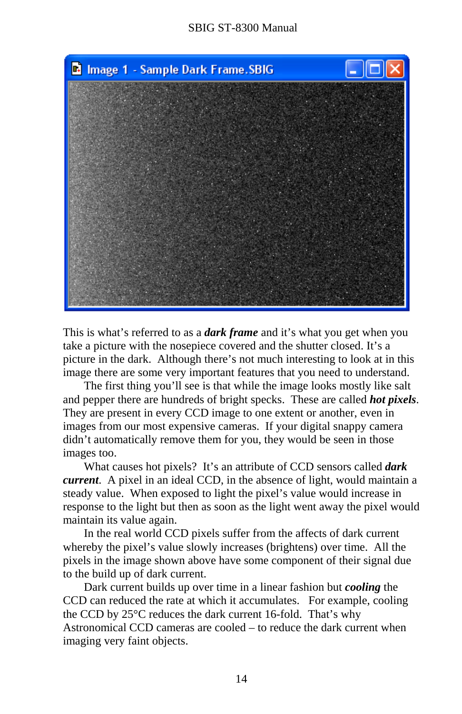

This is what's referred to as a *dark frame* and it's what you get when you take a picture with the nosepiece covered and the shutter closed. It's a picture in the dark. Although there's not much interesting to look at in this image there are some very important features that you need to understand.

 The first thing you'll see is that while the image looks mostly like salt and pepper there are hundreds of bright specks. These are called *hot pixels*. They are present in every CCD image to one extent or another, even in images from our most expensive cameras. If your digital snappy camera didn't automatically remove them for you, they would be seen in those images too.

 What causes hot pixels? It's an attribute of CCD sensors called *dark current*. A pixel in an ideal CCD, in the absence of light, would maintain a steady value. When exposed to light the pixel's value would increase in response to the light but then as soon as the light went away the pixel would maintain its value again.

 In the real world CCD pixels suffer from the affects of dark current whereby the pixel's value slowly increases (brightens) over time. All the pixels in the image shown above have some component of their signal due to the build up of dark current.

 Dark current builds up over time in a linear fashion but *cooling* the CCD can reduced the rate at which it accumulates. For example, cooling the CCD by 25°C reduces the dark current 16-fold. That's why Astronomical CCD cameras are cooled – to reduce the dark current when imaging very faint objects.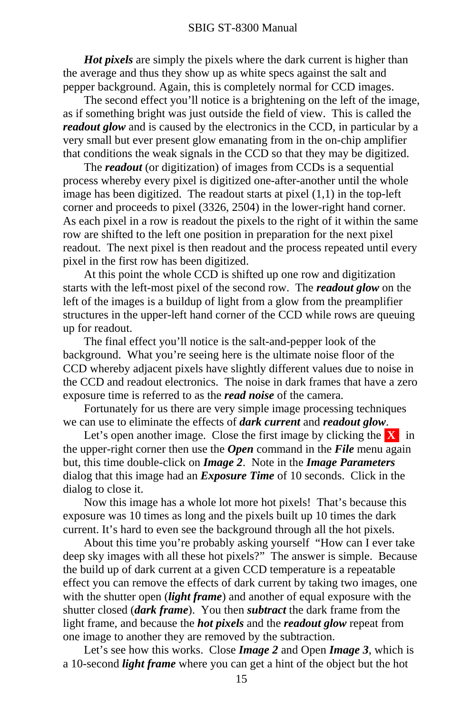*Hot pixels* are simply the pixels where the dark current is higher than the average and thus they show up as white specs against the salt and pepper background. Again, this is completely normal for CCD images.

 The second effect you'll notice is a brightening on the left of the image, as if something bright was just outside the field of view. This is called the *readout glow* and is caused by the electronics in the CCD, in particular by a very small but ever present glow emanating from in the on-chip amplifier that conditions the weak signals in the CCD so that they may be digitized.

 The *readout* (or digitization) of images from CCDs is a sequential process whereby every pixel is digitized one-after-another until the whole image has been digitized. The readout starts at pixel  $(1,1)$  in the top-left corner and proceeds to pixel (3326, 2504) in the lower-right hand corner. As each pixel in a row is readout the pixels to the right of it within the same row are shifted to the left one position in preparation for the next pixel readout. The next pixel is then readout and the process repeated until every pixel in the first row has been digitized.

 At this point the whole CCD is shifted up one row and digitization starts with the left-most pixel of the second row. The *readout glow* on the left of the images is a buildup of light from a glow from the preamplifier structures in the upper-left hand corner of the CCD while rows are queuing up for readout.

 The final effect you'll notice is the salt-and-pepper look of the background. What you're seeing here is the ultimate noise floor of the CCD whereby adjacent pixels have slightly different values due to noise in the CCD and readout electronics. The noise in dark frames that have a zero exposure time is referred to as the *read noise* of the camera.

 Fortunately for us there are very simple image processing techniques we can use to eliminate the effects of *dark current* and *readout glow*.

Let's open another image. Close the first image by clicking the  $\bf{X}$  in the upper-right corner then use the *Open* command in the *File* menu again but, this time double-click on *Image 2*. Note in the *Image Parameters* dialog that this image had an *Exposure Time* of 10 seconds. Click in the dialog to close it.

 Now this image has a whole lot more hot pixels! That's because this exposure was 10 times as long and the pixels built up 10 times the dark current. It's hard to even see the background through all the hot pixels.

 About this time you're probably asking yourself "How can I ever take deep sky images with all these hot pixels?" The answer is simple. Because the build up of dark current at a given CCD temperature is a repeatable effect you can remove the effects of dark current by taking two images, one with the shutter open (*light frame*) and another of equal exposure with the shutter closed (*dark frame*). You then *subtract* the dark frame from the light frame, and because the *hot pixels* and the *readout glow* repeat from one image to another they are removed by the subtraction.

 Let's see how this works. Close *Image 2* and Open *Image 3*, which is a 10-second *light frame* where you can get a hint of the object but the hot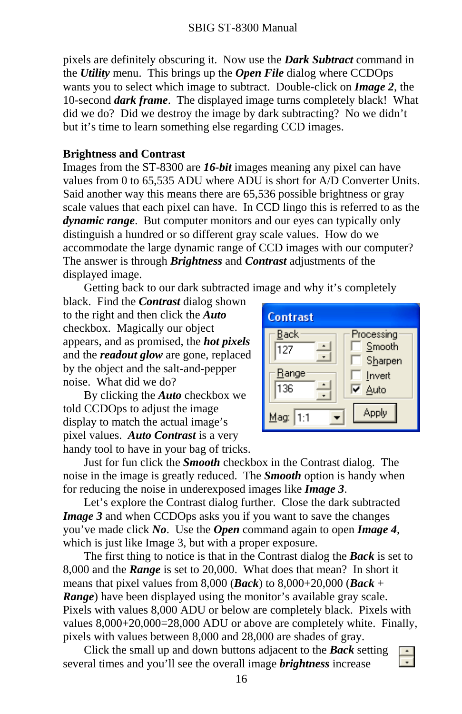<span id="page-18-0"></span>pixels are definitely obscuring it. Now use the *Dark Subtract* command in the *Utility* menu. This brings up the *Open File* dialog where CCDOps wants you to select which image to subtract. Double-click on *Image 2*, the 10-second *dark frame*. The displayed image turns completely black! What did we do? Did we destroy the image by dark subtracting? No we didn't but it's time to learn something else regarding CCD images.

#### **Brightness and Contrast**

Images from the ST-8300 are *16-bit* images meaning any pixel can have values from 0 to 65,535 ADU where ADU is short for A/D Converter Units. Said another way this means there are 65,536 possible brightness or gray scale values that each pixel can have. In CCD lingo this is referred to as the *dynamic range*. But computer monitors and our eyes can typically only distinguish a hundred or so different gray scale values. How do we accommodate the large dynamic range of CCD images with our computer? The answer is through *Brightness* and *Contrast* adjustments of the displayed image.

Getting back to our dark subtracted image and why it's completely

black. Find the *Contrast* dialog shown to the right and then click the *Auto* checkbox. Magically our object appears, and as promised, the *hot pixels* and the *readout glow* are gone, replaced by the object and the salt-and-pepper noise. What did we do?

 By clicking the *Auto* checkbox we told CCDOps to adjust the image display to match the actual image's pixel values. *Auto Contrast* is a very handy tool to have in your bag of tricks.



 Just for fun click the *Smooth* checkbox in the Contrast dialog. The noise in the image is greatly reduced. The *Smooth* option is handy when for reducing the noise in underexposed images like *Image 3*.

 Let's explore the Contrast dialog further. Close the dark subtracted *Image 3* and when CCDOps asks you if you want to save the changes you've made click *No*. Use the *Open* command again to open *Image 4*, which is just like Image 3, but with a proper exposure.

 The first thing to notice is that in the Contrast dialog the *Back* is set to 8,000 and the *Range* is set to 20,000. What does that mean? In short it means that pixel values from 8,000 (*Back*) to 8,000+20,000 (*Back*<sup>+</sup> *Range*) have been displayed using the monitor's available gray scale. Pixels with values 8,000 ADU or below are completely black. Pixels with values 8,000+20,000=28,000 ADU or above are completely white. Finally, pixels with values between 8,000 and 28,000 are shades of gray.

 Click the small up and down buttons adjacent to the *Back* setting several times and you'll see the overall image *brightness* increase

 $\frac{1}{x}$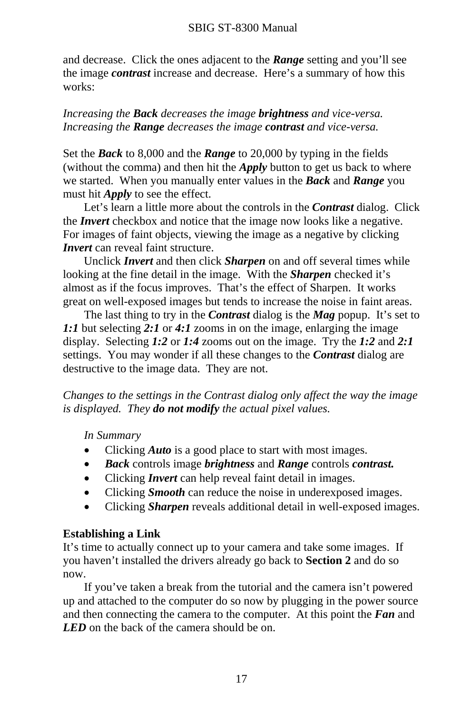<span id="page-19-0"></span>and decrease. Click the ones adjacent to the *Range* setting and you'll see the image *contrast* increase and decrease. Here's a summary of how this works:

### *Increasing the Back decreases the image brightness and vice-versa. Increasing the Range decreases the image contrast and vice-versa.*

Set the *Back* to 8,000 and the *Range* to 20,000 by typing in the fields (without the comma) and then hit the *Apply* button to get us back to where we started. When you manually enter values in the *Back* and *Range* you must hit *Apply* to see the effect.

 Let's learn a little more about the controls in the *Contrast* dialog. Click the *Invert* checkbox and notice that the image now looks like a negative. For images of faint objects, viewing the image as a negative by clicking *<i>Invert* can reveal faint structure.

 Unclick *Invert* and then click *Sharpen* on and off several times while looking at the fine detail in the image. With the *Sharpen* checked it's almost as if the focus improves. That's the effect of Sharpen. It works great on well-exposed images but tends to increase the noise in faint areas.

 The last thing to try in the *Contrast* dialog is the *Mag* popup. It's set to *1:1* but selecting *2:1* or *4:1* zooms in on the image, enlarging the image display. Selecting *1:2* or *1:4* zooms out on the image. Try the *1:2* and *2:1* settings. You may wonder if all these changes to the *Contrast* dialog are destructive to the image data. They are not.

*Changes to the settings in the Contrast dialog only affect the way the image is displayed. They do not modify the actual pixel values.* 

*In Summary* 

- Clicking *Auto* is a good place to start with most images.
- *Back* controls image *brightness* and *Range* controls *contrast.*
- Clicking *Invert* can help reveal faint detail in images.
- Clicking *Smooth* can reduce the noise in underexposed images.
- Clicking *Sharpen* reveals additional detail in well-exposed images.

# **Establishing a Link**

It's time to actually connect up to your camera and take some images. If you haven't installed the drivers already go back to **Section 2** and do so now.

 If you've taken a break from the tutorial and the camera isn't powered up and attached to the computer do so now by plugging in the power source and then connecting the camera to the computer. At this point the *Fan* and *LED* on the back of the camera should be on.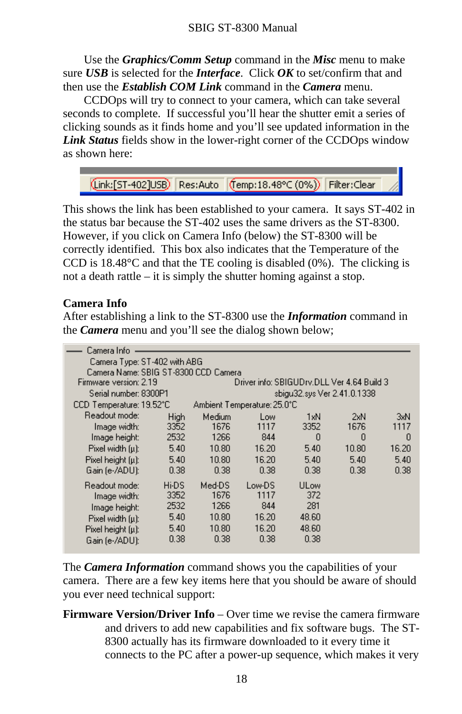<span id="page-20-0"></span> Use the *Graphics/Comm Setup* command in the *Misc* menu to make sure *USB* is selected for the *Interface*. Click *OK* to set/confirm that and then use the *Establish COM Link* command in the *Camera* menu.

 CCDOps will try to connect to your camera, which can take several seconds to complete. If successful you'll hear the shutter emit a series of clicking sounds as it finds home and you'll see updated information in the *Link Status* fields show in the lower-right corner of the CCDOps window as shown here:

(Link:[ST-402]USB) | Res:Auto | (Temp:18.48°C (0%)) | Filter:Clear

This shows the link has been established to your camera. It says ST-402 in the status bar because the ST-402 uses the same drivers as the ST-8300. However, if you click on Camera Info (below) the ST-8300 will be correctly identified. This box also indicates that the Temperature of the CCD is 18.48°C and that the TE cooling is disabled (0%). The clicking is not a death rattle – it is simply the shutter homing against a stop.

#### **Camera Info**

After establishing a link to the ST-8300 use the *Information* command in the *Camera* menu and you'll see the dialog shown below;

| Camera Info                          |       |        |                                            |                             |       |       |
|--------------------------------------|-------|--------|--------------------------------------------|-----------------------------|-------|-------|
| Camera Type: ST-402 with ABG         |       |        |                                            |                             |       |       |
| Camera Name: SBIG ST-8300 CCD Camera |       |        |                                            |                             |       |       |
| Firmware version: 2.19               |       |        | Driver info: SBIGUDrv.DLL Ver 4.64 Build 3 |                             |       |       |
| Serial number: 8300P1                |       |        |                                            | sbigu32.sys Ver 2.41.0.1338 |       |       |
| CCD Temperature: 19.52°C             |       |        | Ambient Temperature: 25.0°C.               |                             |       |       |
| Readout mode:                        | High  | Medium | Low                                        | 1xN                         | 2xN   | 3xN   |
| Image width:                         | 3352  | 1676   | 1117                                       | 3352                        | 1676  | 1117  |
| Image height:                        | 2532  | 1266   | 844                                        | 0                           | 0     | n     |
| Pixel width (u):                     | 5.40  | 10.80  | 16.20                                      | 5.40                        | 10.80 | 16.20 |
| Pixel height [µ]:                    | 5.40  | 10.80  | 16.20                                      | 5.40                        | 5.40  | 5.40  |
| Gain (e-/ADU):                       | 0.38  | 0.38   | 0.38                                       | 0.38                        | 0.38  | 0.38  |
| Readout mode:                        | Hi-DS | Med-DS | Low-DS                                     | ULow                        |       |       |
| Image width:                         | 3352  | 1676   | 1117                                       | 372                         |       |       |
| Image height:                        | 2532  | 1266   | 844                                        | 281                         |       |       |
| Pixel width (u):                     | 5.40  | 10.80  | 16.20                                      | 48.60                       |       |       |
| Pixel height $[\mu]$ :               | 5.40  | 10.80  | 16.20                                      | 48.60                       |       |       |
| Gain (e-/ADU):                       | 0.38  | 0.38   | 0.38                                       | 0.38                        |       |       |

The *Camera Information* command shows you the capabilities of your camera. There are a few key items here that you should be aware of should you ever need technical support:

**Firmware Version/Driver Info** – Over time we revise the camera firmware and drivers to add new capabilities and fix software bugs. The ST-8300 actually has its firmware downloaded to it every time it connects to the PC after a power-up sequence, which makes it very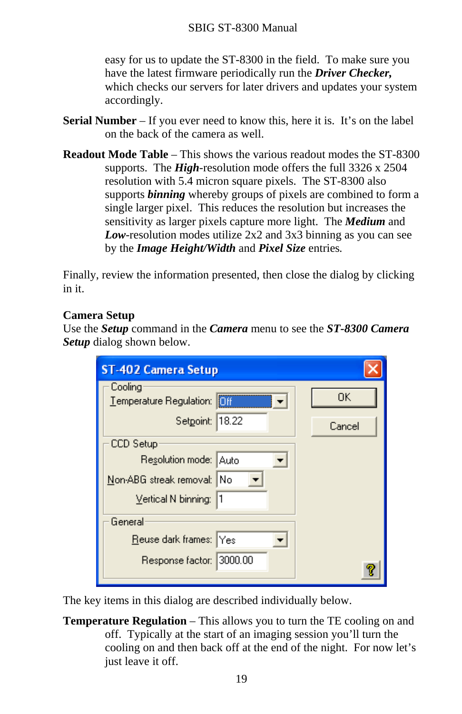<span id="page-21-0"></span>easy for us to update the ST-8300 in the field. To make sure you have the latest firmware periodically run the *Driver Checker,* which checks our servers for later drivers and updates your system accordingly.

- **Serial Number** If you ever need to know this, here it is. It's on the label on the back of the camera as well.
- **Readout Mode Table** This shows the various readout modes the ST-8300 supports. The *High*-resolution mode offers the full 3326 x 2504 resolution with 5.4 micron square pixels. The ST-8300 also supports *binning* whereby groups of pixels are combined to form a single larger pixel. This reduces the resolution but increases the sensitivity as larger pixels capture more light. The *Medium* and *Low*-resolution modes utilize 2x2 and 3x3 binning as you can see by the *Image Height/Width* and *Pixel Size* entries*.*

Finally, review the information presented, then close the dialog by clicking in it.

#### **Camera Setup**

Use the *Setup* command in the *Camera* menu to see the *ST-8300 Camera Setup* dialog shown below.

| <b>ST-402 Camera Setup</b>                        |        |
|---------------------------------------------------|--------|
| Cooling<br><b>IOff</b><br>Temperature Regulation: | 0K     |
| 18.22<br>Setpoint:                                | Cancel |
| CCD Setup                                         |        |
| Resolution mode: Auto                             |        |
| Non-ABG streak removal:   No                      |        |
| Vertical N binning:<br>l1                         |        |
| General                                           |        |
| Reuse dark frames: Yes                            |        |
| Response factor: 3000.00                          |        |
|                                                   |        |

The key items in this dialog are described individually below.

**Temperature Regulation** – This allows you to turn the TE cooling on and off. Typically at the start of an imaging session you'll turn the cooling on and then back off at the end of the night. For now let's just leave it off.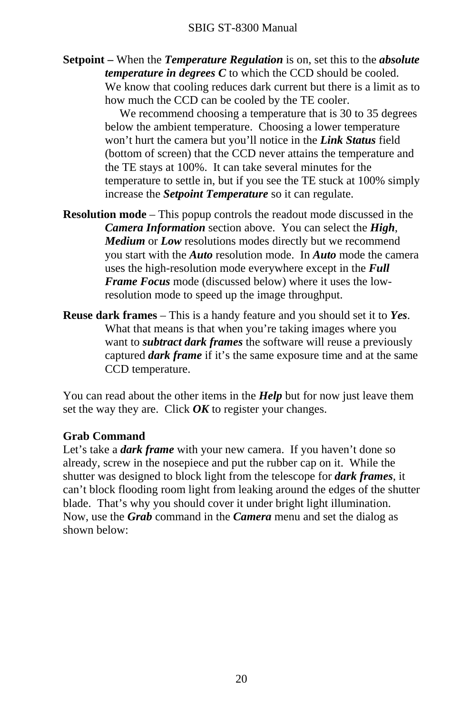<span id="page-22-0"></span>**Setpoint –** When the *Temperature Regulation* is on, set this to the *absolute temperature in degrees C* to which the CCD should be cooled. We know that cooling reduces dark current but there is a limit as to how much the CCD can be cooled by the TE cooler.

> We recommend choosing a temperature that is 30 to 35 degrees below the ambient temperature. Choosing a lower temperature won't hurt the camera but you'll notice in the *Link Status* field (bottom of screen) that the CCD never attains the temperature and the TE stays at 100%. It can take several minutes for the temperature to settle in, but if you see the TE stuck at 100% simply increase the *Setpoint Temperature* so it can regulate.

**Resolution mode** – This popup controls the readout mode discussed in the *Camera Information* section above. You can select the *High*, *Medium* or *Low* resolutions modes directly but we recommend you start with the *Auto* resolution mode. In *Auto* mode the camera uses the high-resolution mode everywhere except in the *Full Frame Focus* mode (discussed below) where it uses the lowresolution mode to speed up the image throughput.

**Reuse dark frames** – This is a handy feature and you should set it to *Yes*. What that means is that when you're taking images where you want to *subtract dark frames* the software will reuse a previously captured *dark frame* if it's the same exposure time and at the same CCD temperature.

You can read about the other items in the *Help* but for now just leave them set the way they are. Click *OK* to register your changes.

#### **Grab Command**

Let's take a *dark frame* with your new camera. If you haven't done so already, screw in the nosepiece and put the rubber cap on it. While the shutter was designed to block light from the telescope for *dark frames*, it can't block flooding room light from leaking around the edges of the shutter blade. That's why you should cover it under bright light illumination. Now, use the *Grab* command in the *Camera* menu and set the dialog as shown below: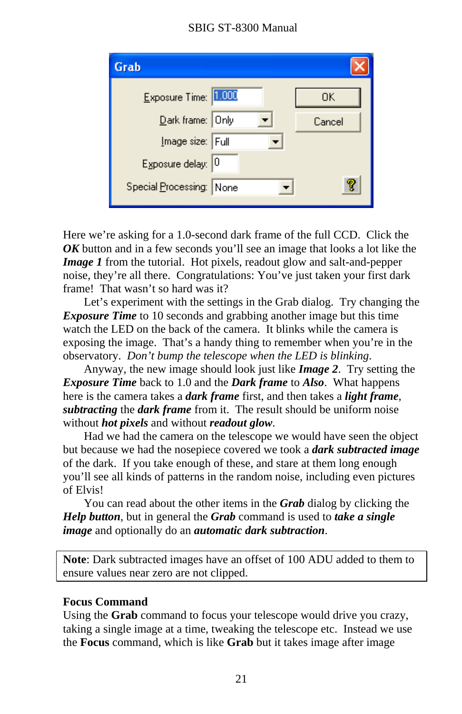# SBIG ST-8300 Manual

<span id="page-23-0"></span>

| Grab                     |        |
|--------------------------|--------|
| Exposure Time: 1.000     | OΚ     |
| Dark frame: Only         | Cancel |
| Image size: Full         |        |
| Exposure delay: 0        |        |
| Special Processing: None |        |
|                          |        |

Here we're asking for a 1.0-second dark frame of the full CCD. Click the *OK* button and in a few seconds you'll see an image that looks a lot like the *Image 1* from the tutorial. Hot pixels, readout glow and salt-and-pepper noise, they're all there. Congratulations: You've just taken your first dark frame! That wasn't so hard was it?

 Let's experiment with the settings in the Grab dialog. Try changing the *Exposure Time* to 10 seconds and grabbing another image but this time watch the LED on the back of the camera. It blinks while the camera is exposing the image. That's a handy thing to remember when you're in the observatory. *Don't bump the telescope when the LED is blinking*.

 Anyway, the new image should look just like *Image 2*. Try setting the *Exposure Time* back to 1.0 and the *Dark frame* to *Also*. What happens here is the camera takes a *dark frame* first, and then takes a *light frame*, *subtracting* the *dark frame* from it. The result should be uniform noise without *hot pixels* and without *readout glow*.

 Had we had the camera on the telescope we would have seen the object but because we had the nosepiece covered we took a *dark subtracted image* of the dark. If you take enough of these, and stare at them long enough you'll see all kinds of patterns in the random noise, including even pictures of Elvis!

 You can read about the other items in the *Grab* dialog by clicking the *Help button*, but in general the *Grab* command is used to *take a single image* and optionally do an *automatic dark subtraction*.

**Note**: Dark subtracted images have an offset of 100 ADU added to them to ensure values near zero are not clipped.

#### **Focus Command**

Using the **Grab** command to focus your telescope would drive you crazy, taking a single image at a time, tweaking the telescope etc. Instead we use the **Focus** command, which is like **Grab** but it takes image after image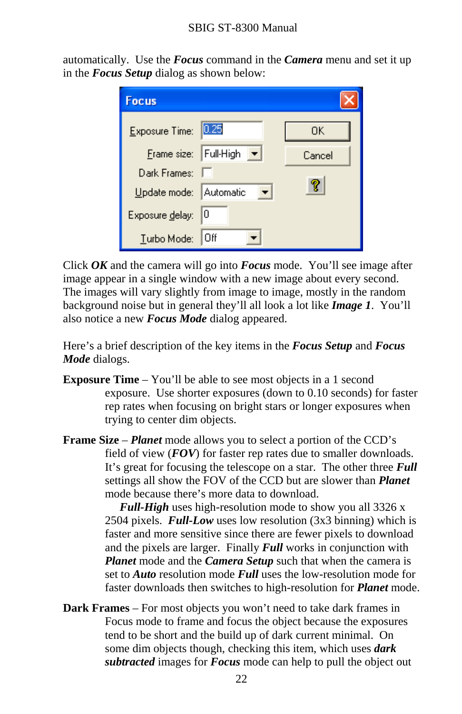automatically. Use the *Focus* command in the *Camera* menu and set it up in the *Focus Setup* dialog as shown below:

| <b>Focus</b>           |                          |        |
|------------------------|--------------------------|--------|
| Exposure Time:         | 0.25                     | 0K     |
| Frame size: Full-High  | $\vert \mathbf{v} \vert$ | Cancel |
| Dark Frames:           |                          |        |
| Update mode: Automatic |                          | 7      |
| Exposure delay:        | 10                       |        |
| Turbo Mode:            | Οff                      |        |

Click *OK* and the camera will go into *Focus* mode. You'll see image after image appear in a single window with a new image about every second. The images will vary slightly from image to image, mostly in the random background noise but in general they'll all look a lot like *Image 1*. You'll also notice a new *Focus Mode* dialog appeared.

Here's a brief description of the key items in the *Focus Setup* and *Focus Mode* dialogs.

**Exposure Time** – You'll be able to see most objects in a 1 second exposure. Use shorter exposures (down to 0.10 seconds) for faster rep rates when focusing on bright stars or longer exposures when trying to center dim objects.

**Frame Size** – *Planet* mode allows you to select a portion of the CCD's field of view (*FOV*) for faster rep rates due to smaller downloads. It's great for focusing the telescope on a star. The other three *Full* settings all show the FOV of the CCD but are slower than *Planet* mode because there's more data to download.

> *Full-High* uses high-resolution mode to show you all 3326 x 2504 pixels. *Full-Low* uses low resolution (3x3 binning) which is faster and more sensitive since there are fewer pixels to download and the pixels are larger. Finally *Full* works in conjunction with *Planet* mode and the *Camera Setup* such that when the camera is set to *Auto* resolution mode *Full* uses the low-resolution mode for faster downloads then switches to high-resolution for *Planet* mode.

**Dark Frames** – For most objects you won't need to take dark frames in Focus mode to frame and focus the object because the exposures tend to be short and the build up of dark current minimal. On some dim objects though, checking this item, which uses *dark subtracted* images for *Focus* mode can help to pull the object out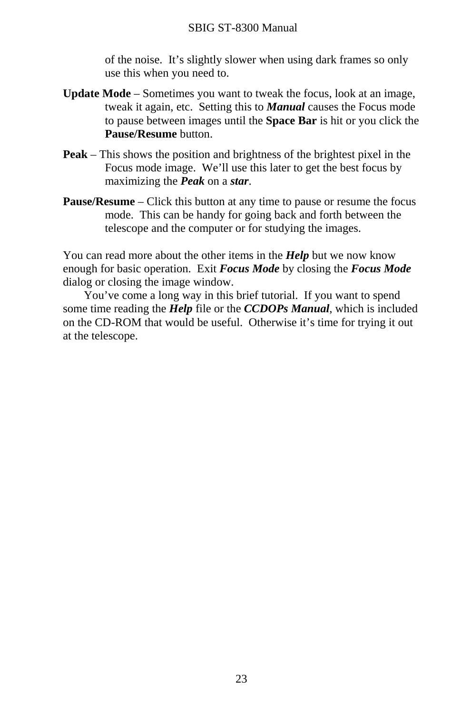of the noise. It's slightly slower when using dark frames so only use this when you need to.

- **Update Mode** Sometimes you want to tweak the focus, look at an image, tweak it again, etc. Setting this to *Manual* causes the Focus mode to pause between images until the **Space Bar** is hit or you click the **Pause/Resume** button.
- **Peak** This shows the position and brightness of the brightest pixel in the Focus mode image. We'll use this later to get the best focus by maximizing the *Peak* on a *star*.
- **Pause/Resume** Click this button at any time to pause or resume the focus mode. This can be handy for going back and forth between the telescope and the computer or for studying the images.

You can read more about the other items in the *Help* but we now know enough for basic operation. Exit *Focus Mode* by closing the *Focus Mode* dialog or closing the image window.

 You've come a long way in this brief tutorial. If you want to spend some time reading the *Help* file or the *CCDOPs Manual*, which is included on the CD-ROM that would be useful. Otherwise it's time for trying it out at the telescope.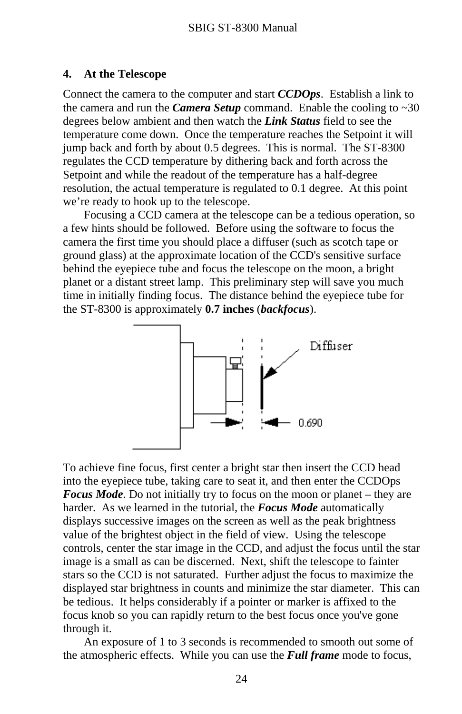#### <span id="page-26-0"></span>**4. At the Telescope**

Connect the camera to the computer and start *CCDOps*. Establish a link to the camera and run the *Camera Setup* command. Enable the cooling to  $\sim 30$ degrees below ambient and then watch the *Link Status* field to see the temperature come down. Once the temperature reaches the Setpoint it will jump back and forth by about 0.5 degrees. This is normal. The ST-8300 regulates the CCD temperature by dithering back and forth across the Setpoint and while the readout of the temperature has a half-degree resolution, the actual temperature is regulated to 0.1 degree. At this point we're ready to hook up to the telescope.

 Focusing a CCD camera at the telescope can be a tedious operation, so a few hints should be followed. Before using the software to focus the camera the first time you should place a diffuser (such as scotch tape or ground glass) at the approximate location of the CCD's sensitive surface behind the eyepiece tube and focus the telescope on the moon, a bright planet or a distant street lamp. This preliminary step will save you much time in initially finding focus. The distance behind the eyepiece tube for the ST-8300 is approximately **0.7 inches** (*backfocus*).



To achieve fine focus, first center a bright star then insert the CCD head into the eyepiece tube, taking care to seat it, and then enter the CCDOps *Focus Mode*. Do not initially try to focus on the moon or planet – they are harder. As we learned in the tutorial, the *Focus Mode* automatically displays successive images on the screen as well as the peak brightness value of the brightest object in the field of view. Using the telescope controls, center the star image in the CCD, and adjust the focus until the star image is a small as can be discerned. Next, shift the telescope to fainter stars so the CCD is not saturated. Further adjust the focus to maximize the displayed star brightness in counts and minimize the star diameter. This can be tedious. It helps considerably if a pointer or marker is affixed to the focus knob so you can rapidly return to the best focus once you've gone through it.

 An exposure of 1 to 3 seconds is recommended to smooth out some of the atmospheric effects. While you can use the *Full frame* mode to focus,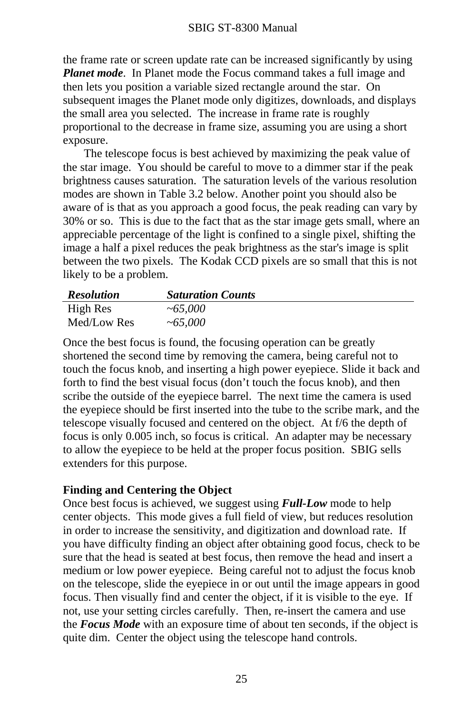<span id="page-27-0"></span>the frame rate or screen update rate can be increased significantly by using *Planet mode*. In Planet mode the Focus command takes a full image and then lets you position a variable sized rectangle around the star. On subsequent images the Planet mode only digitizes, downloads, and displays the small area you selected. The increase in frame rate is roughly proportional to the decrease in frame size, assuming you are using a short exposure.

 The telescope focus is best achieved by maximizing the peak value of the star image. You should be careful to move to a dimmer star if the peak brightness causes saturation. The saturation levels of the various resolution modes are shown in Table 3.2 below. Another point you should also be aware of is that as you approach a good focus, the peak reading can vary by 30% or so. This is due to the fact that as the star image gets small, where an appreciable percentage of the light is confined to a single pixel, shifting the image a half a pixel reduces the peak brightness as the star's image is split between the two pixels. The Kodak CCD pixels are so small that this is not likely to be a problem.

| <b>Resolution</b> | <b>Saturation Counts</b> |
|-------------------|--------------------------|
| High Res          | ~1000                    |
| Med/Low Res       | ~1000                    |

Once the best focus is found, the focusing operation can be greatly shortened the second time by removing the camera, being careful not to touch the focus knob, and inserting a high power eyepiece. Slide it back and forth to find the best visual focus (don't touch the focus knob), and then scribe the outside of the eyepiece barrel. The next time the camera is used the eyepiece should be first inserted into the tube to the scribe mark, and the telescope visually focused and centered on the object. At f/6 the depth of focus is only 0.005 inch, so focus is critical. An adapter may be necessary to allow the eyepiece to be held at the proper focus position. SBIG sells extenders for this purpose.

#### **Finding and Centering the Object**

Once best focus is achieved, we suggest using *Full-Low* mode to help center objects. This mode gives a full field of view, but reduces resolution in order to increase the sensitivity, and digitization and download rate. If you have difficulty finding an object after obtaining good focus, check to be sure that the head is seated at best focus, then remove the head and insert a medium or low power eyepiece. Being careful not to adjust the focus knob on the telescope, slide the eyepiece in or out until the image appears in good focus. Then visually find and center the object, if it is visible to the eye. If not, use your setting circles carefully. Then, re-insert the camera and use the *Focus Mode* with an exposure time of about ten seconds, if the object is quite dim. Center the object using the telescope hand controls.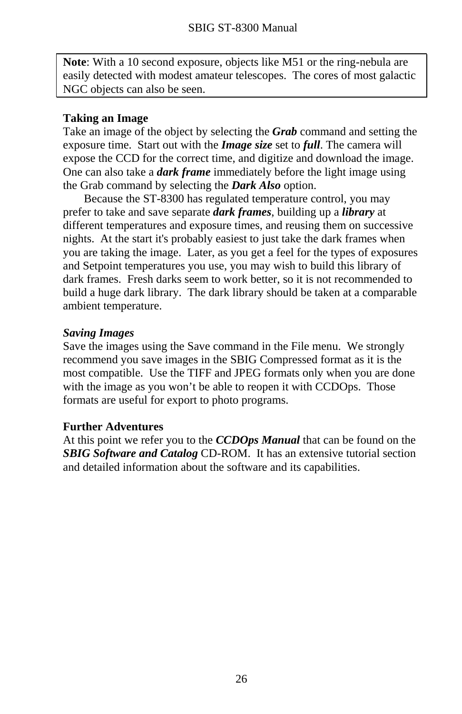<span id="page-28-0"></span>**Note**: With a 10 second exposure, objects like M51 or the ring-nebula are easily detected with modest amateur telescopes. The cores of most galactic NGC objects can also be seen.

#### **Taking an Image**

Take an image of the object by selecting the *Grab* command and setting the exposure time. Start out with the *Image size* set to *full*. The camera will expose the CCD for the correct time, and digitize and download the image. One can also take a *dark frame* immediately before the light image using the Grab command by selecting the *Dark Also* option.

 Because the ST-8300 has regulated temperature control, you may prefer to take and save separate *dark frames*, building up a *library* at different temperatures and exposure times, and reusing them on successive nights. At the start it's probably easiest to just take the dark frames when you are taking the image. Later, as you get a feel for the types of exposures and Setpoint temperatures you use, you may wish to build this library of dark frames. Fresh darks seem to work better, so it is not recommended to build a huge dark library. The dark library should be taken at a comparable ambient temperature.

#### *Saving Images*

Save the images using the Save command in the File menu. We strongly recommend you save images in the SBIG Compressed format as it is the most compatible. Use the TIFF and JPEG formats only when you are done with the image as you won't be able to reopen it with CCDOps. Those formats are useful for export to photo programs.

#### **Further Adventures**

At this point we refer you to the *CCDOps Manual* that can be found on the *SBIG Software and Catalog* CD-ROM. It has an extensive tutorial section and detailed information about the software and its capabilities.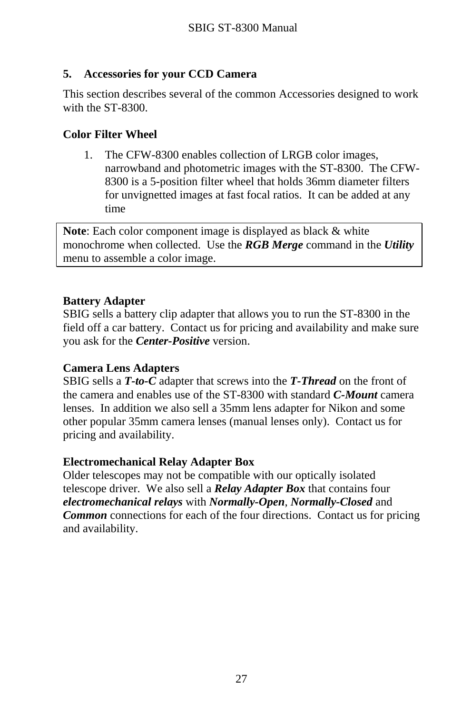# <span id="page-29-0"></span>**5. Accessories for your CCD Camera**

This section describes several of the common Accessories designed to work with the ST-8300.

### **Color Filter Wheel**

1. The CFW-8300 enables collection of LRGB color images, narrowband and photometric images with the ST-8300. The CFW-8300 is a 5-position filter wheel that holds 36mm diameter filters for unvignetted images at fast focal ratios. It can be added at any time

**Note**: Each color component image is displayed as black & white monochrome when collected. Use the *RGB Merge* command in the *Utility* menu to assemble a color image.

### **Battery Adapter**

SBIG sells a battery clip adapter that allows you to run the ST-8300 in the field off a car battery. Contact us for pricing and availability and make sure you ask for the *Center-Positive* version.

#### **Camera Lens Adapters**

SBIG sells a *T-to-C* adapter that screws into the *T-Thread* on the front of the camera and enables use of the ST-8300 with standard *C-Mount* camera lenses. In addition we also sell a 35mm lens adapter for Nikon and some other popular 35mm camera lenses (manual lenses only). Contact us for pricing and availability.

#### **Electromechanical Relay Adapter Box**

Older telescopes may not be compatible with our optically isolated telescope driver. We also sell a *Relay Adapter Box* that contains four *electromechanical relays* with *Normally-Open*, *Normally-Closed* and *Common* connections for each of the four directions. Contact us for pricing and availability.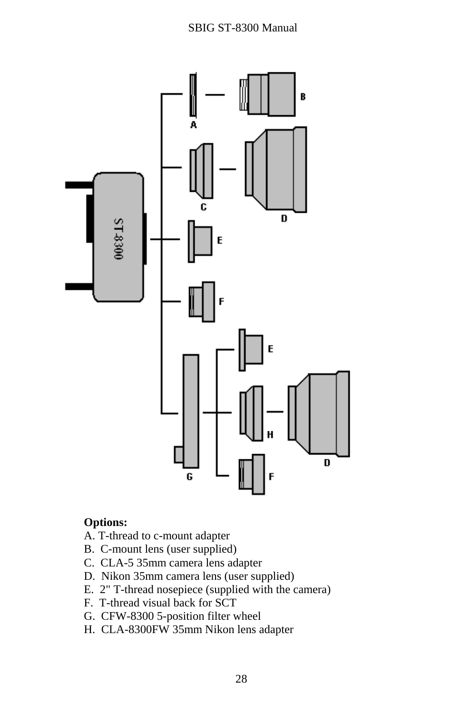### SBIG ST-8300 Manual



# **Options:**

- A. T-thread to c-mount adapter
- B. C-mount lens (user supplied)
- C. CLA-5 35mm camera lens adapter
- D. Nikon 35mm camera lens (user supplied)
- E. 2" T-thread nosepiece (supplied with the camera)
- F. T-thread visual back for SCT
- G. CFW-8300 5-position filter wheel
- H. CLA-8300FW 35mm Nikon lens adapter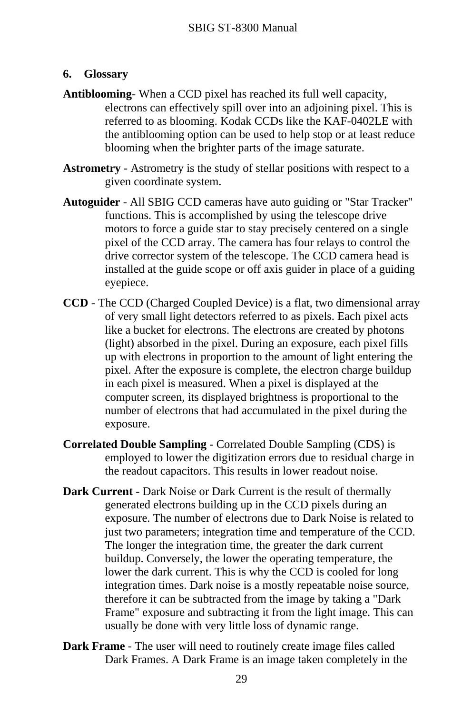#### <span id="page-31-0"></span>**6. Glossary**

- **Antiblooming** When a CCD pixel has reached its full well capacity, electrons can effectively spill over into an adjoining pixel. This is referred to as blooming. Kodak CCDs like the KAF-0402LE with the antiblooming option can be used to help stop or at least reduce blooming when the brighter parts of the image saturate.
- **Astrometry** Astrometry is the study of stellar positions with respect to a given coordinate system.
- **Autoguider** All SBIG CCD cameras have auto guiding or "Star Tracker" functions. This is accomplished by using the telescope drive motors to force a guide star to stay precisely centered on a single pixel of the CCD array. The camera has four relays to control the drive corrector system of the telescope. The CCD camera head is installed at the guide scope or off axis guider in place of a guiding eyepiece.
- **CCD** The CCD (Charged Coupled Device) is a flat, two dimensional array of very small light detectors referred to as pixels. Each pixel acts like a bucket for electrons. The electrons are created by photons (light) absorbed in the pixel. During an exposure, each pixel fills up with electrons in proportion to the amount of light entering the pixel. After the exposure is complete, the electron charge buildup in each pixel is measured. When a pixel is displayed at the computer screen, its displayed brightness is proportional to the number of electrons that had accumulated in the pixel during the exposure.
- **Correlated Double Sampling** Correlated Double Sampling (CDS) is employed to lower the digitization errors due to residual charge in the readout capacitors. This results in lower readout noise.
- **Dark Current**  Dark Noise or Dark Current is the result of thermally generated electrons building up in the CCD pixels during an exposure. The number of electrons due to Dark Noise is related to just two parameters; integration time and temperature of the CCD. The longer the integration time, the greater the dark current buildup. Conversely, the lower the operating temperature, the lower the dark current. This is why the CCD is cooled for long integration times. Dark noise is a mostly repeatable noise source, therefore it can be subtracted from the image by taking a "Dark Frame" exposure and subtracting it from the light image. This can usually be done with very little loss of dynamic range.
- **Dark Frame** The user will need to routinely create image files called Dark Frames. A Dark Frame is an image taken completely in the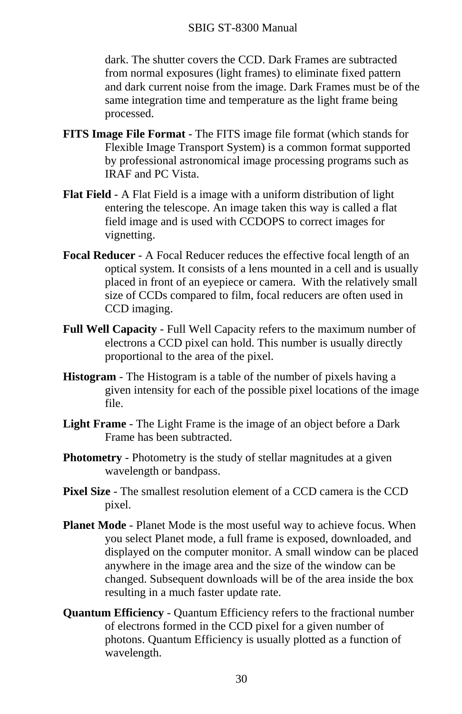dark. The shutter covers the CCD. Dark Frames are subtracted from normal exposures (light frames) to eliminate fixed pattern and dark current noise from the image. Dark Frames must be of the same integration time and temperature as the light frame being processed.

- **FITS Image File Format** The FITS image file format (which stands for Flexible Image Transport System) is a common format supported by professional astronomical image processing programs such as IRAF and PC Vista.
- **Flat Field** A Flat Field is a image with a uniform distribution of light entering the telescope. An image taken this way is called a flat field image and is used with CCDOPS to correct images for vignetting.
- **Focal Reducer** A Focal Reducer reduces the effective focal length of an optical system. It consists of a lens mounted in a cell and is usually placed in front of an eyepiece or camera. With the relatively small size of CCDs compared to film, focal reducers are often used in CCD imaging.
- **Full Well Capacity** Full Well Capacity refers to the maximum number of electrons a CCD pixel can hold. This number is usually directly proportional to the area of the pixel.
- **Histogram** The Histogram is a table of the number of pixels having a given intensity for each of the possible pixel locations of the image file.
- **Light Frame** The Light Frame is the image of an object before a Dark Frame has been subtracted.
- **Photometry** Photometry is the study of stellar magnitudes at a given wavelength or bandpass.
- **Pixel Size** The smallest resolution element of a CCD camera is the CCD pixel.
- **Planet Mode** Planet Mode is the most useful way to achieve focus. When you select Planet mode, a full frame is exposed, downloaded, and displayed on the computer monitor. A small window can be placed anywhere in the image area and the size of the window can be changed. Subsequent downloads will be of the area inside the box resulting in a much faster update rate.
- **Quantum Efficiency** Quantum Efficiency refers to the fractional number of electrons formed in the CCD pixel for a given number of photons. Quantum Efficiency is usually plotted as a function of wavelength.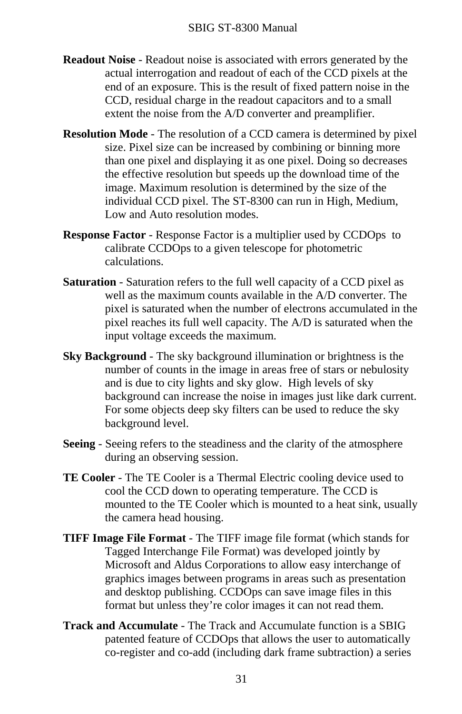- **Readout Noise** Readout noise is associated with errors generated by the actual interrogation and readout of each of the CCD pixels at the end of an exposure. This is the result of fixed pattern noise in the CCD, residual charge in the readout capacitors and to a small extent the noise from the A/D converter and preamplifier.
- **Resolution Mode** The resolution of a CCD camera is determined by pixel size. Pixel size can be increased by combining or binning more than one pixel and displaying it as one pixel. Doing so decreases the effective resolution but speeds up the download time of the image. Maximum resolution is determined by the size of the individual CCD pixel. The ST-8300 can run in High, Medium, Low and Auto resolution modes.
- **Response Factor** Response Factor is a multiplier used by CCDOps to calibrate CCDOps to a given telescope for photometric calculations.
- **Saturation** Saturation refers to the full well capacity of a CCD pixel as well as the maximum counts available in the A/D converter. The pixel is saturated when the number of electrons accumulated in the pixel reaches its full well capacity. The A/D is saturated when the input voltage exceeds the maximum.
- **Sky Background** The sky background illumination or brightness is the number of counts in the image in areas free of stars or nebulosity and is due to city lights and sky glow. High levels of sky background can increase the noise in images just like dark current. For some objects deep sky filters can be used to reduce the sky background level.
- **Seeing** Seeing refers to the steadiness and the clarity of the atmosphere during an observing session.
- **TE Cooler**  The TE Cooler is a Thermal Electric cooling device used to cool the CCD down to operating temperature. The CCD is mounted to the TE Cooler which is mounted to a heat sink, usually the camera head housing.
- **TIFF Image File Format** The TIFF image file format (which stands for Tagged Interchange File Format) was developed jointly by Microsoft and Aldus Corporations to allow easy interchange of graphics images between programs in areas such as presentation and desktop publishing. CCDOps can save image files in this format but unless they're color images it can not read them.
- **Track and Accumulate** The Track and Accumulate function is a SBIG patented feature of CCDOps that allows the user to automatically co-register and co-add (including dark frame subtraction) a series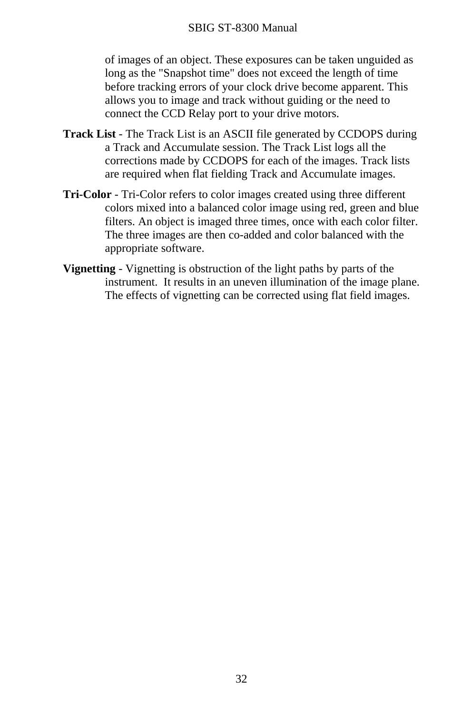#### SBIG ST-8300 Manual

of images of an object. These exposures can be taken unguided as long as the "Snapshot time" does not exceed the length of time before tracking errors of your clock drive become apparent. This allows you to image and track without guiding or the need to connect the CCD Relay port to your drive motors.

- **Track List** The Track List is an ASCII file generated by CCDOPS during a Track and Accumulate session. The Track List logs all the corrections made by CCDOPS for each of the images. Track lists are required when flat fielding Track and Accumulate images.
- **Tri-Color** Tri-Color refers to color images created using three different colors mixed into a balanced color image using red, green and blue filters. An object is imaged three times, once with each color filter. The three images are then co-added and color balanced with the appropriate software.
- **Vignetting** Vignetting is obstruction of the light paths by parts of the instrument. It results in an uneven illumination of the image plane. The effects of vignetting can be corrected using flat field images.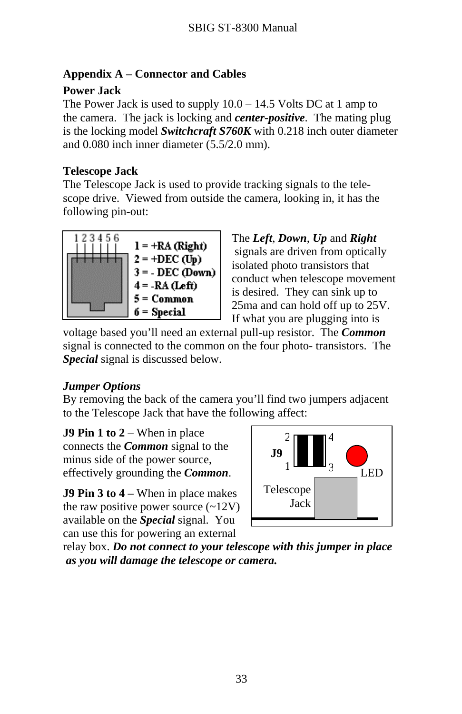# <span id="page-35-0"></span>**Appendix A – Connector and Cables**

# **Power Jack**

The Power Jack is used to supply 10.0 – 14.5 Volts DC at 1 amp to the camera. The jack is locking and *center-positive*. The mating plug is the locking model *Switchcraft S760K* with 0.218 inch outer diameter and 0.080 inch inner diameter (5.5/2.0 mm).

# **Telescope Jack**

The Telescope Jack is used to provide tracking signals to the telescope drive. Viewed from outside the camera, looking in, it has the following pin-out:



The *Left*, *Down*, *Up* and *Right*  signals are driven from optically isolated photo transistors that conduct when telescope movement is desired. They can sink up to 25ma and can hold off up to 25V. If what you are plugging into is

voltage based you'll need an external pull-up resistor. The *Common*  signal is connected to the common on the four photo- transistors. The *Special* signal is discussed below.

# *Jumper Options*

By removing the back of the camera you'll find two jumpers adjacent to the Telescope Jack that have the following affect:

**J9 Pin 1 to 2** – When in place connects the *Common* signal to the minus side of the power source, effectively grounding the *Common*.

**J9 Pin 3 to 4** – When in place makes the raw positive power source  $(-12V)$ available on the *Special* signal. You can use this for powering an external



relay box. *Do not connect to your telescope with this jumper in place as you will damage the telescope or camera.*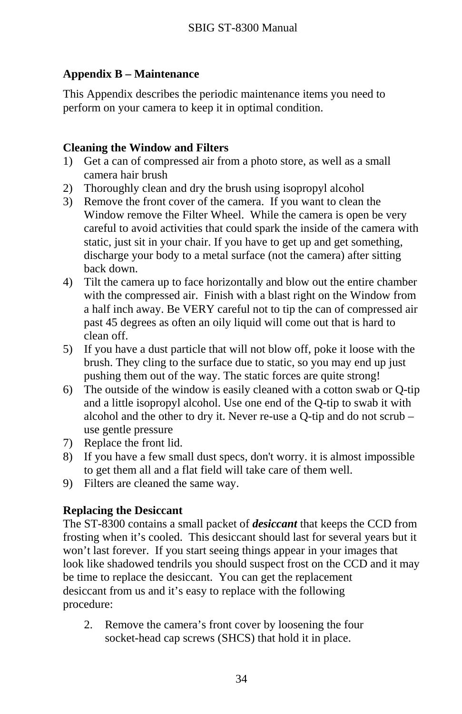# <span id="page-36-0"></span>**Appendix B – Maintenance**

This Appendix describes the periodic maintenance items you need to perform on your camera to keep it in optimal condition.

# **Cleaning the Window and Filters**

- 1) Get a can of compressed air from a photo store, as well as a small camera hair brush
- 2) Thoroughly clean and dry the brush using isopropyl alcohol
- 3) Remove the front cover of the camera. If you want to clean the Window remove the Filter Wheel. While the camera is open be very careful to avoid activities that could spark the inside of the camera with static, just sit in your chair. If you have to get up and get something, discharge your body to a metal surface (not the camera) after sitting back down.
- 4) Tilt the camera up to face horizontally and blow out the entire chamber with the compressed air. Finish with a blast right on the Window from a half inch away. Be VERY careful not to tip the can of compressed air past 45 degrees as often an oily liquid will come out that is hard to clean off.
- 5) If you have a dust particle that will not blow off, poke it loose with the brush. They cling to the surface due to static, so you may end up just pushing them out of the way. The static forces are quite strong!
- 6) The outside of the window is easily cleaned with a cotton swab or Q-tip and a little isopropyl alcohol. Use one end of the Q-tip to swab it with alcohol and the other to dry it. Never re-use a Q-tip and do not scrub – use gentle pressure
- 7) Replace the front lid.
- 8) If you have a few small dust specs, don't worry. it is almost impossible to get them all and a flat field will take care of them well.
- 9) Filters are cleaned the same way.

# **Replacing the Desiccant**

The ST-8300 contains a small packet of *desiccant* that keeps the CCD from frosting when it's cooled. This desiccant should last for several years but it won't last forever. If you start seeing things appear in your images that look like shadowed tendrils you should suspect frost on the CCD and it may be time to replace the desiccant. You can get the replacement desiccant from us and it's easy to replace with the following procedure:

2. Remove the camera's front cover by loosening the four socket-head cap screws (SHCS) that hold it in place.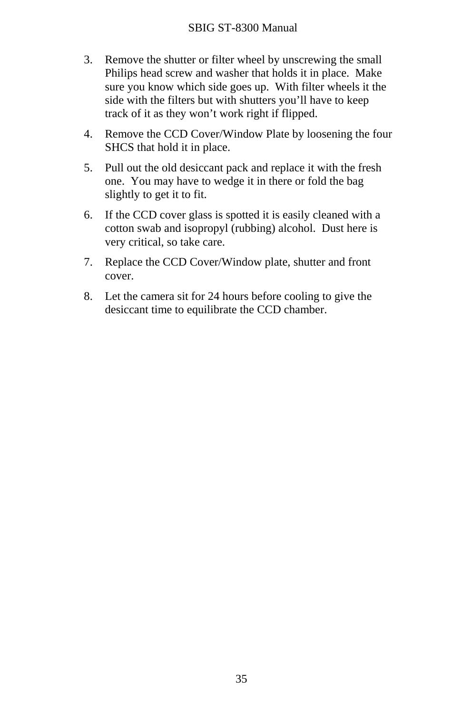- 3. Remove the shutter or filter wheel by unscrewing the small Philips head screw and washer that holds it in place. Make sure you know which side goes up. With filter wheels it the side with the filters but with shutters you'll have to keep track of it as they won't work right if flipped.
- 4. Remove the CCD Cover/Window Plate by loosening the four SHCS that hold it in place.
- 5. Pull out the old desiccant pack and replace it with the fresh one. You may have to wedge it in there or fold the bag slightly to get it to fit.
- 6. If the CCD cover glass is spotted it is easily cleaned with a cotton swab and isopropyl (rubbing) alcohol. Dust here is very critical, so take care.
- 7. Replace the CCD Cover/Window plate, shutter and front cover.
- 8. Let the camera sit for 24 hours before cooling to give the desiccant time to equilibrate the CCD chamber.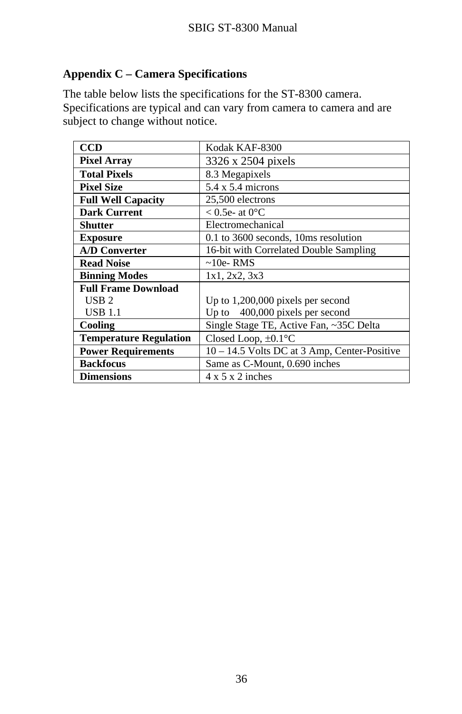# <span id="page-38-0"></span>**Appendix C – Camera Specifications**

The table below lists the specifications for the ST-8300 camera. Specifications are typical and can vary from camera to camera and are subject to change without notice.

| <b>CCD</b>                    | Kodak KAF-8300                                 |
|-------------------------------|------------------------------------------------|
| <b>Pixel Array</b>            | 3326 x 2504 pixels                             |
| <b>Total Pixels</b>           | 8.3 Megapixels                                 |
| <b>Pixel Size</b>             | $5.4 \times 5.4$ microns                       |
| <b>Full Well Capacity</b>     | 25,500 electrons                               |
| <b>Dark Current</b>           | $< 0.5e$ - at 0 <sup>o</sup> C                 |
| <b>Shutter</b>                | Electromechanical                              |
| <b>Exposure</b>               | 0.1 to 3600 seconds, 10ms resolution           |
| <b>A/D Converter</b>          | 16-bit with Correlated Double Sampling         |
| <b>Read Noise</b>             | $\sim$ 10e-RMS                                 |
| <b>Binning Modes</b>          | 1x1, 2x2, 3x3                                  |
| <b>Full Frame Download</b>    |                                                |
| $USB 2$                       | Up to 1,200,000 pixels per second              |
| <b>USB 1.1</b>                | Up to $400,000$ pixels per second              |
| Cooling                       | Single Stage TE, Active Fan, ~35C Delta        |
| <b>Temperature Regulation</b> | Closed Loop, $\pm 0.1$ °C                      |
| <b>Power Requirements</b>     | $10 - 14.5$ Volts DC at 3 Amp, Center-Positive |
| <b>Backfocus</b>              | Same as C-Mount, 0.690 inches                  |
| <b>Dimensions</b>             | $4 \times 5 \times 2$ inches                   |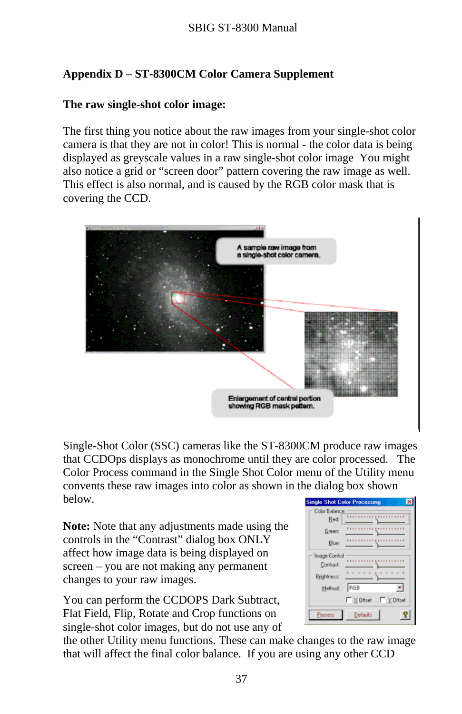# <span id="page-39-0"></span>**Appendix D – ST-8300CM Color Camera Supplement**

# **The raw single-shot color image:**

The first thing you notice about the raw images from your single-shot color camera is that they are not in color! This is normal - the color data is being displayed as greyscale values in a raw single-shot color image You might also notice a grid or "screen door" pattern covering the raw image as well. This effect is also normal, and is caused by the RGB color mask that is covering the CCD.



Single-Shot Color (SSC) cameras like the ST-8300CM produce raw images that CCDOps displays as monochrome until they are color processed. The Color Process command in the Single Shot Color menu of the Utility menu convents these raw images into color as shown in the dialog box shown below.

**Note:** Note that any adjustments made using the controls in the "Contrast" dialog box ONLY affect how image data is being displayed on screen – you are not making any permanent changes to your raw images.

You can perform the CCDOPS Dark Subtract, Flat Field, Flip, Rotate and Crop functions on single-shot color images, but do not use any of

| <b>Single Shot Color Processing</b>      |
|------------------------------------------|
| Color Balance                            |
| Red                                      |
| Green:                                   |
| Blue:                                    |
| Image Control                            |
| Contrast:                                |
| ٠<br>$\rightarrow$<br><b>Brightness:</b> |
| RGB<br>Method:                           |
| ■ X Offset ■ Y Offset                    |
| Defaults<br><b>Process</b>               |

the other Utility menu functions. These can make changes to the raw image that will affect the final color balance. If you are using any other CCD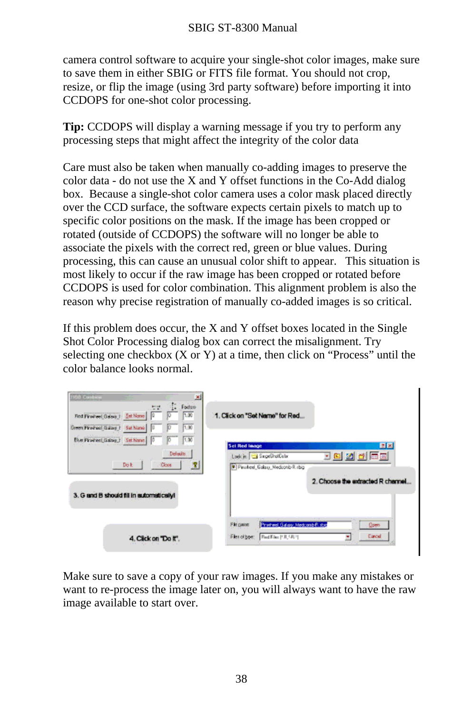camera control software to acquire your single-shot color images, make sure to save them in either SBIG or FITS file format. You should not crop, resize, or flip the image (using 3rd party software) before importing it into CCDOPS for one-shot color processing.

**Tip:** CCDOPS will display a warning message if you try to perform any processing steps that might affect the integrity of the color data

Care must also be taken when manually co-adding images to preserve the color data - do not use the X and Y offset functions in the Co-Add dialog box. Because a single-shot color camera uses a color mask placed directly over the CCD surface, the software expects certain pixels to match up to specific color positions on the mask. If the image has been cropped or rotated (outside of CCDOPS) the software will no longer be able to associate the pixels with the correct red, green or blue values. During processing, this can cause an unusual color shift to appear. This situation is most likely to occur if the raw image has been cropped or rotated before CCDOPS is used for color combination. This alignment problem is also the reason why precise registration of manually co-added images is so critical.

If this problem does occur, the X and Y offset boxes located in the Single Shot Color Processing dialog box can correct the misalignment. Try selecting one checkbox  $(X \text{ or } Y)$  at a time, then click on "Process" until the color balance looks normal.

| <b>RGB Contine</b><br>凶<br><b>Factor</b><br>土地<br>7.00<br>Red Finance Galaxy 1 Set Nome 0<br>1,00<br><b>Green Pinehael Galaxy 1 Sat Nano</b> | 1. Click on "Set Name" for Red                                                                                                               |
|----------------------------------------------------------------------------------------------------------------------------------------------|----------------------------------------------------------------------------------------------------------------------------------------------|
| 1.00<br>Blue Pineheet Galaxy_1 Set Name<br>Defects.<br>Do k<br>Clore.<br>3<br>3. G and B should fill in automatically!                       | 图图<br><b>Set Red Image</b><br>- 8 2 d 5 8<br>Lookin 3 SingeShatCobr<br>Pinuheel Galaxy Nedconb-Ritchip<br>2. Choose the extracted R channel. |
| 4. Click on "Do It".                                                                                                                         | File paner.<br>Preteel Galery Medcamb Ridge<br>Qpen<br>Cancel<br>Files of type:<br>Bad Film [SR, SR 3]<br>٠                                  |

Make sure to save a copy of your raw images. If you make any mistakes or want to re-process the image later on, you will always want to have the raw image available to start over.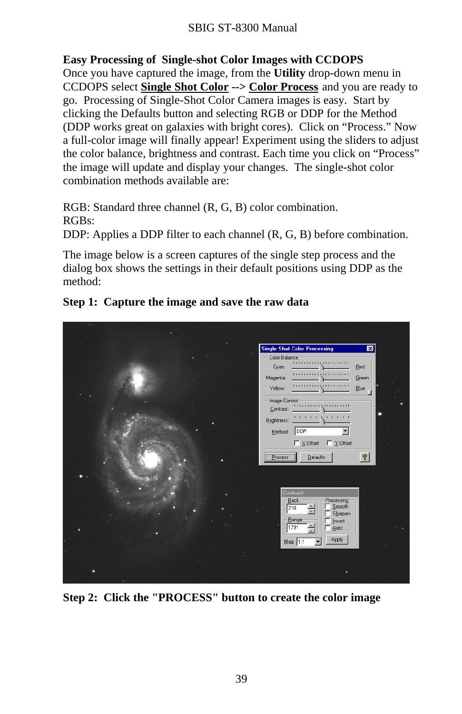#### SBIG ST-8300 Manual

#### **Easy Processing of Single-shot Color Images with CCDOPS**

Once you have captured the image, from the **Utility** drop-down menu in CCDOPS select **Single Shot Color --> Color Process** and you are ready to go. Processing of Single-Shot Color Camera images is easy. Start by clicking the Defaults button and selecting RGB or DDP for the Method (DDP works great on galaxies with bright cores). Click on "Process." Now a full-color image will finally appear! Experiment using the sliders to adjust the color balance, brightness and contrast. Each time you click on "Process" the image will update and display your changes. The single-shot color combination methods available are:

RGB: Standard three channel (R, G, B) color combination. RGBs:

DDP: Applies a DDP filter to each channel (R, G, B) before combination.

The image below is a screen captures of the single step process and the dialog box shows the settings in their default positions using DDP as the method:



#### **Step 1: Capture the image and save the raw data**

**Step 2: Click the "PROCESS" button to create the color image**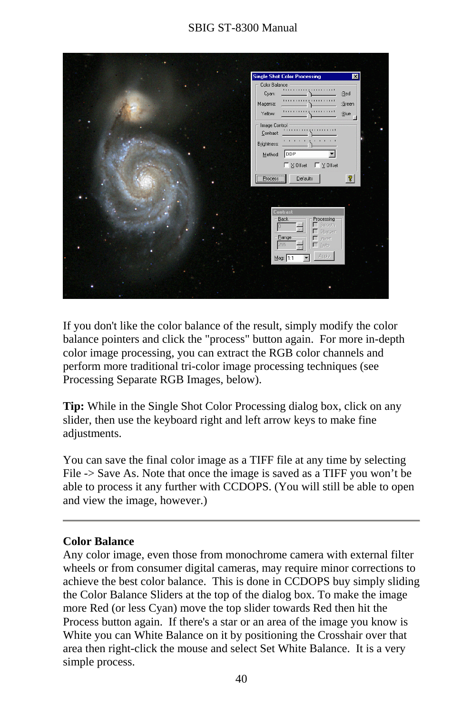# SBIG ST-8300 Manual



If you don't like the color balance of the result, simply modify the color balance pointers and click the "process" button again. For more in-depth color image processing, you can extract the RGB color channels and perform more traditional tri-color image processing techniques (see Processing Separate RGB Images, below).

**Tip:** While in the Single Shot Color Processing dialog box, click on any slider, then use the keyboard right and left arrow keys to make fine adjustments.

You can save the final color image as a TIFF file at any time by selecting File -> Save As. Note that once the image is saved as a TIFF you won't be able to process it any further with CCDOPS. (You will still be able to open and view the image, however.)

#### **Color Balance**

Any color image, even those from monochrome camera with external filter wheels or from consumer digital cameras, may require minor corrections to achieve the best color balance. This is done in CCDOPS buy simply sliding the Color Balance Sliders at the top of the dialog box. To make the image more Red (or less Cyan) move the top slider towards Red then hit the Process button again. If there's a star or an area of the image you know is White you can White Balance on it by positioning the Crosshair over that area then right-click the mouse and select Set White Balance. It is a very simple process.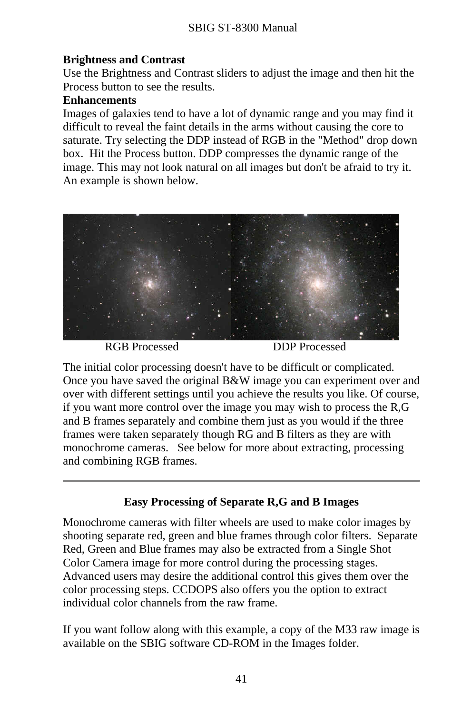# **Brightness and Contrast**

Use the Brightness and Contrast sliders to adjust the image and then hit the Process button to see the results.

#### **Enhancements**

Images of galaxies tend to have a lot of dynamic range and you may find it difficult to reveal the faint details in the arms without causing the core to saturate. Try selecting the DDP instead of RGB in the "Method" drop down box. Hit the Process button. DDP compresses the dynamic range of the image. This may not look natural on all images but don't be afraid to try it. An example is shown below.



RGB Processed DDP Processed

The initial color processing doesn't have to be difficult or complicated. Once you have saved the original B&W image you can experiment over and over with different settings until you achieve the results you like. Of course, if you want more control over the image you may wish to process the R,G and B frames separately and combine them just as you would if the three frames were taken separately though RG and B filters as they are with monochrome cameras. See below for more about extracting, processing and combining RGB frames.

# **Easy Processing of Separate R,G and B Images**

Monochrome cameras with filter wheels are used to make color images by shooting separate red, green and blue frames through color filters. Separate Red, Green and Blue frames may also be extracted from a Single Shot Color Camera image for more control during the processing stages. Advanced users may desire the additional control this gives them over the color processing steps. CCDOPS also offers you the option to extract individual color channels from the raw frame.

If you want follow along with this example, a copy of the M33 raw image is available on the SBIG software CD-ROM in the Images folder.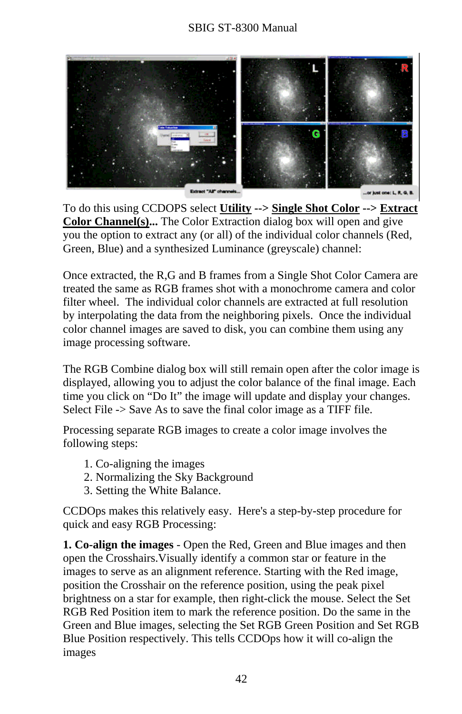# SBIG ST-8300 Manual



To do this using CCDOPS select **Utility --> Single Shot Color --> Extract Color Channel(s)...** The Color Extraction dialog box will open and give you the option to extract any (or all) of the individual color channels (Red, Green, Blue) and a synthesized Luminance (greyscale) channel:

Once extracted, the R,G and B frames from a Single Shot Color Camera are treated the same as RGB frames shot with a monochrome camera and color filter wheel. The individual color channels are extracted at full resolution by interpolating the data from the neighboring pixels. Once the individual color channel images are saved to disk, you can combine them using any image processing software.

The RGB Combine dialog box will still remain open after the color image is displayed, allowing you to adjust the color balance of the final image. Each time you click on "Do It" the image will update and display your changes. Select File -> Save As to save the final color image as a TIFF file.

Processing separate RGB images to create a color image involves the following steps:

- 1. Co-aligning the images
- 2. Normalizing the Sky Background
- 3. Setting the White Balance.

CCDOps makes this relatively easy. Here's a step-by-step procedure for quick and easy RGB Processing:

**1. Co-align the images** - Open the Red, Green and Blue images and then open the Crosshairs.Visually identify a common star or feature in the images to serve as an alignment reference. Starting with the Red image, position the Crosshair on the reference position, using the peak pixel brightness on a star for example, then right-click the mouse. Select the Set RGB Red Position item to mark the reference position. Do the same in the Green and Blue images, selecting the Set RGB Green Position and Set RGB Blue Position respectively. This tells CCDOps how it will co-align the images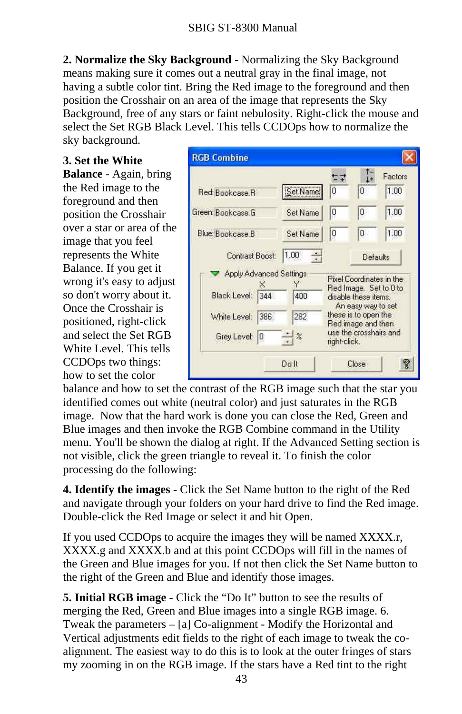**2. Normalize the Sky Background** - Normalizing the Sky Background means making sure it comes out a neutral gray in the final image, not having a subtle color tint. Bring the Red image to the foreground and then position the Crosshair on an area of the image that represents the Sky Background, free of any stars or faint nebulosity. Right-click the mouse and select the Set RGB Black Level. This tells CCDOps how to normalize the sky background.

**3. Set the White Balance** - Again, bring the Red image to the foreground and then position the Crosshair over a star or area of the image that you feel represents the White Balance. If you get it wrong it's easy to adjust so don't worry about it. Once the Crosshair is positioned, right-click and select the Set RGB White Level. This tells CCDOps two things: how to set the color

|                         |          |                                                                                                                    |                        | Factors                  |
|-------------------------|----------|--------------------------------------------------------------------------------------------------------------------|------------------------|--------------------------|
| Red: Bookcase R         | Set Name | n                                                                                                                  | Ū                      | 1.00                     |
| Green: Bookcase.G       | Set Name | 0                                                                                                                  | Ū                      | 1.00                     |
| Blue: Bookcase B        | Set Name | İΟ                                                                                                                 | Ū                      | 1.00                     |
| Contrast Boost:         | 1.00     |                                                                                                                    |                        | Defaults                 |
| Apply Advanced Settings |          |                                                                                                                    |                        | Pixel Coordinates in the |
| Black Level:<br>344     | 400      | Red Image. Set to D to<br>disable these items.<br>An easy way to set<br>these is to open the<br>Red image and then |                        |                          |
| White Level:<br>386     | 282      |                                                                                                                    |                        |                          |
| Grey Level:<br>0        | $-2$     | right-click.                                                                                                       | use the crosshairs and |                          |

balance and how to set the contrast of the RGB image such that the star you identified comes out white (neutral color) and just saturates in the RGB image. Now that the hard work is done you can close the Red, Green and Blue images and then invoke the RGB Combine command in the Utility menu. You'll be shown the dialog at right. If the Advanced Setting section is not visible, click the green triangle to reveal it. To finish the color processing do the following:

**4. Identify the images** - Click the Set Name button to the right of the Red and navigate through your folders on your hard drive to find the Red image. Double-click the Red Image or select it and hit Open.

If you used CCDOps to acquire the images they will be named XXXX.r, XXXX.g and XXXX.b and at this point CCDOps will fill in the names of the Green and Blue images for you. If not then click the Set Name button to the right of the Green and Blue and identify those images.

**5. Initial RGB image** - Click the "Do It" button to see the results of merging the Red, Green and Blue images into a single RGB image. 6. Tweak the parameters – [a] Co-alignment - Modify the Horizontal and Vertical adjustments edit fields to the right of each image to tweak the coalignment. The easiest way to do this is to look at the outer fringes of stars my zooming in on the RGB image. If the stars have a Red tint to the right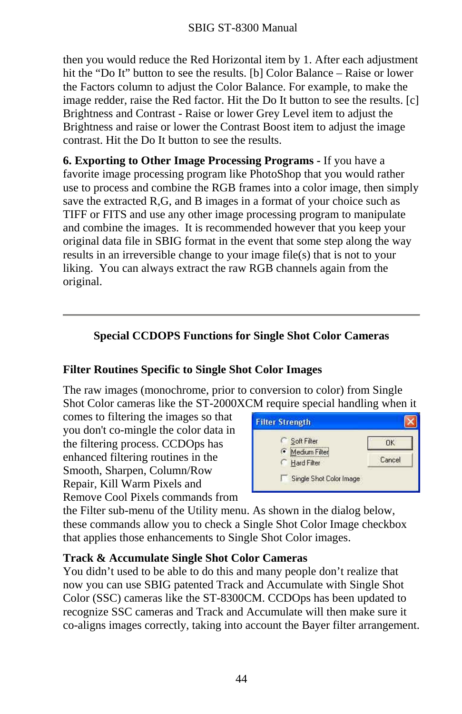then you would reduce the Red Horizontal item by 1. After each adjustment hit the "Do It" button to see the results. [b] Color Balance – Raise or lower the Factors column to adjust the Color Balance. For example, to make the image redder, raise the Red factor. Hit the Do It button to see the results. [c] Brightness and Contrast - Raise or lower Grey Level item to adjust the Brightness and raise or lower the Contrast Boost item to adjust the image contrast. Hit the Do It button to see the results.

**6. Exporting to Other Image Processing Programs -** If you have a favorite image processing program like PhotoShop that you would rather use to process and combine the RGB frames into a color image, then simply save the extracted R,G, and B images in a format of your choice such as TIFF or FITS and use any other image processing program to manipulate and combine the images. It is recommended however that you keep your original data file in SBIG format in the event that some step along the way results in an irreversible change to your image file(s) that is not to your liking. You can always extract the raw RGB channels again from the original.

# **Special CCDOPS Functions for Single Shot Color Cameras**

#### **Filter Routines Specific to Single Shot Color Images**

The raw images (monochrome, prior to conversion to color) from Single Shot Color cameras like the ST-2000XCM require special handling when it

comes to filtering the images so that you don't co-mingle the color data in the filtering process. CCDOps has enhanced filtering routines in the Smooth, Sharpen, Column/Row Repair, Kill Warm Pixels and Remove Cool Pixels commands from

| <b>Filter Strength</b>             |        |
|------------------------------------|--------|
| Soft Filter                        | ПK     |
| Medium Filter<br>G.<br>Hard Filter | Cancel |
| Single Shot Color Image            |        |

the Filter sub-menu of the Utility menu. As shown in the dialog below, these commands allow you to check a Single Shot Color Image checkbox that applies those enhancements to Single Shot Color images.

#### **Track & Accumulate Single Shot Color Cameras**

You didn't used to be able to do this and many people don't realize that now you can use SBIG patented Track and Accumulate with Single Shot Color (SSC) cameras like the ST-8300CM. CCDOps has been updated to recognize SSC cameras and Track and Accumulate will then make sure it co-aligns images correctly, taking into account the Bayer filter arrangement.